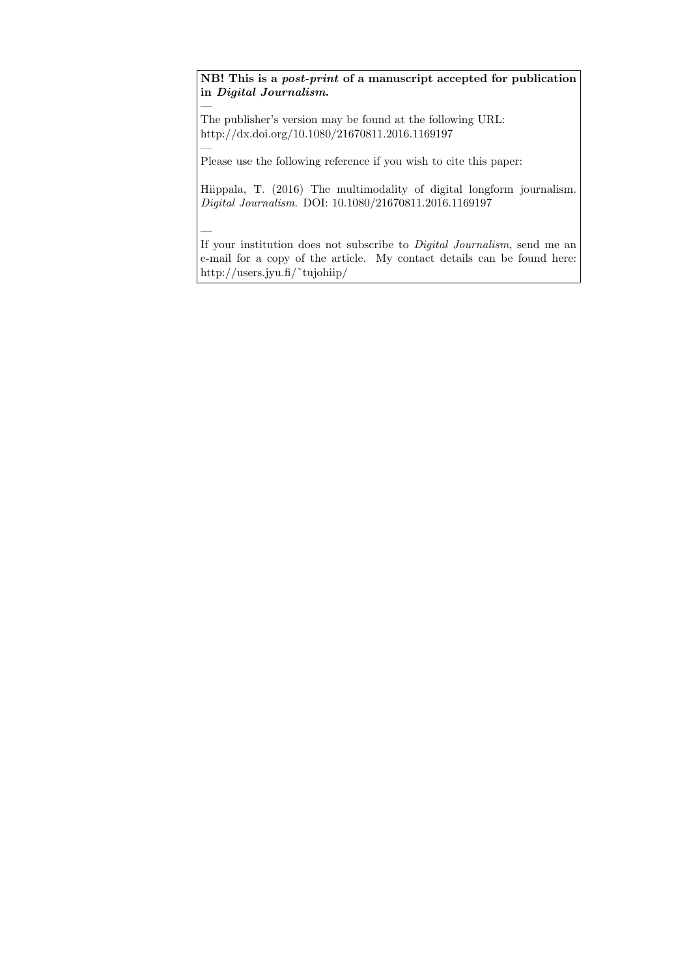NB! This is a post-print of a manuscript accepted for publication in Digital Journalism.

The publisher's version may be found at the following URL: http://dx.doi.org/10.1080/21670811.2016.1169197

—

—

—

Please use the following reference if you wish to cite this paper:

Hiippala, T. (2016) The multimodality of digital longform journalism. Digital Journalism. DOI: 10.1080/21670811.2016.1169197

If your institution does not subscribe to Digital Journalism, send me an e-mail for a copy of the article. My contact details can be found here: http://users.jyu.fi/˜tujohiip/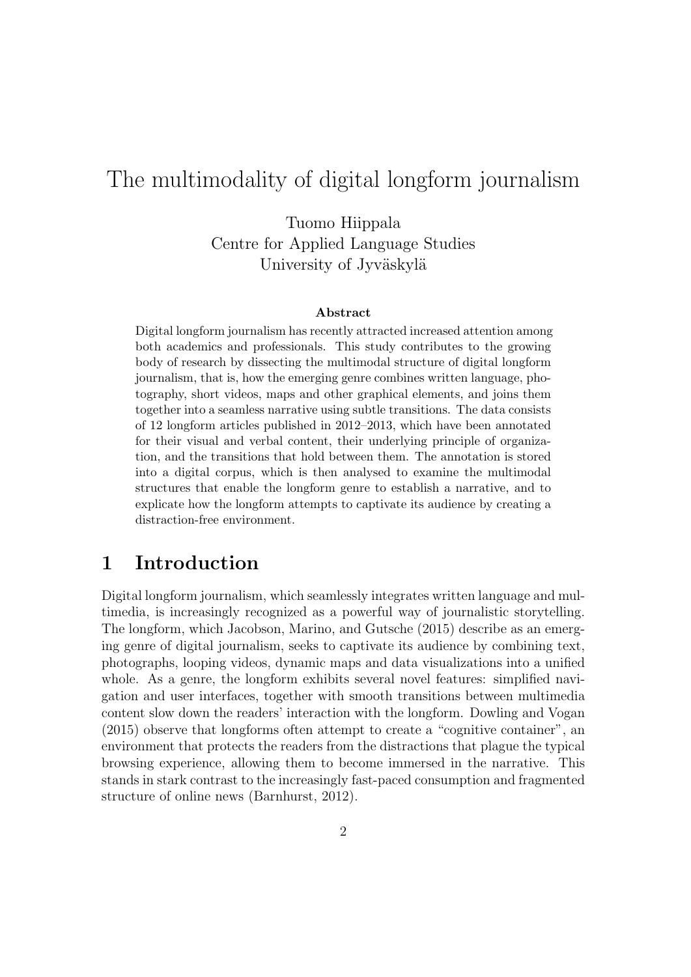# The multimodality of digital longform journalism

Tuomo Hiippala Centre for Applied Language Studies University of Jyväskylä

#### Abstract

Digital longform journalism has recently attracted increased attention among both academics and professionals. This study contributes to the growing body of research by dissecting the multimodal structure of digital longform journalism, that is, how the emerging genre combines written language, photography, short videos, maps and other graphical elements, and joins them together into a seamless narrative using subtle transitions. The data consists of 12 longform articles published in 2012–2013, which have been annotated for their visual and verbal content, their underlying principle of organization, and the transitions that hold between them. The annotation is stored into a digital corpus, which is then analysed to examine the multimodal structures that enable the longform genre to establish a narrative, and to explicate how the longform attempts to captivate its audience by creating a distraction-free environment.

### 1 Introduction

Digital longform journalism, which seamlessly integrates written language and multimedia, is increasingly recognized as a powerful way of journalistic storytelling. The longform, which Jacobson, Marino, and Gutsche (2015) describe as an emerging genre of digital journalism, seeks to captivate its audience by combining text, photographs, looping videos, dynamic maps and data visualizations into a unified whole. As a genre, the longform exhibits several novel features: simplified navigation and user interfaces, together with smooth transitions between multimedia content slow down the readers' interaction with the longform. Dowling and Vogan (2015) observe that longforms often attempt to create a "cognitive container", an environment that protects the readers from the distractions that plague the typical browsing experience, allowing them to become immersed in the narrative. This stands in stark contrast to the increasingly fast-paced consumption and fragmented structure of online news (Barnhurst, 2012).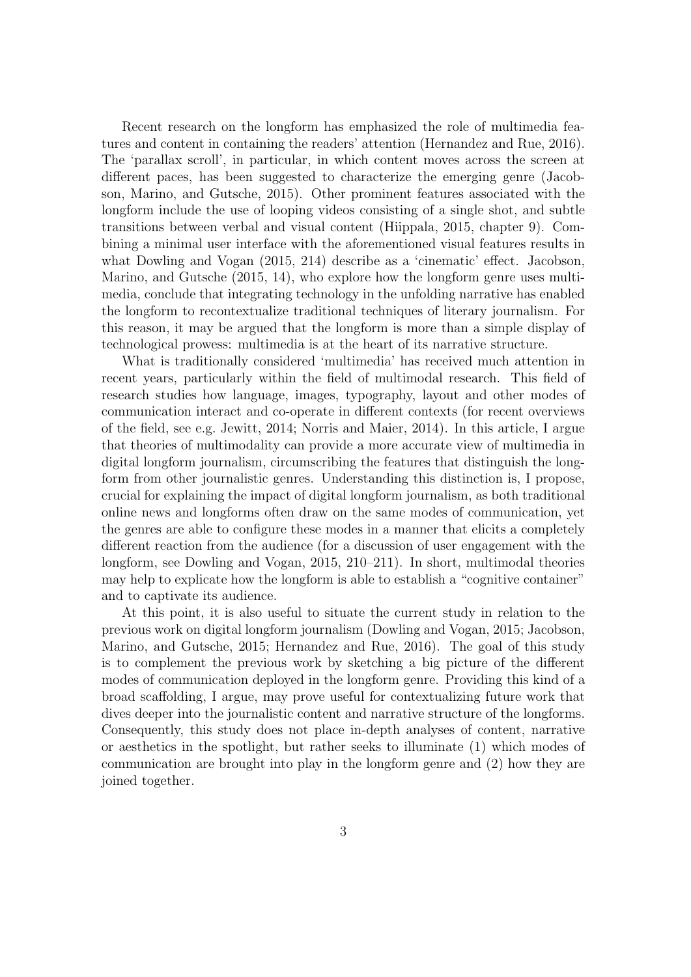Recent research on the longform has emphasized the role of multimedia features and content in containing the readers' attention (Hernandez and Rue, 2016). The 'parallax scroll', in particular, in which content moves across the screen at different paces, has been suggested to characterize the emerging genre (Jacobson, Marino, and Gutsche, 2015). Other prominent features associated with the longform include the use of looping videos consisting of a single shot, and subtle transitions between verbal and visual content (Hiippala, 2015, chapter 9). Combining a minimal user interface with the aforementioned visual features results in what Dowling and Vogan (2015, 214) describe as a 'cinematic' effect. Jacobson, Marino, and Gutsche (2015, 14), who explore how the longform genre uses multimedia, conclude that integrating technology in the unfolding narrative has enabled the longform to recontextualize traditional techniques of literary journalism. For this reason, it may be argued that the longform is more than a simple display of technological prowess: multimedia is at the heart of its narrative structure.

What is traditionally considered 'multimedia' has received much attention in recent years, particularly within the field of multimodal research. This field of research studies how language, images, typography, layout and other modes of communication interact and co-operate in different contexts (for recent overviews of the field, see e.g. Jewitt, 2014; Norris and Maier, 2014). In this article, I argue that theories of multimodality can provide a more accurate view of multimedia in digital longform journalism, circumscribing the features that distinguish the longform from other journalistic genres. Understanding this distinction is, I propose, crucial for explaining the impact of digital longform journalism, as both traditional online news and longforms often draw on the same modes of communication, yet the genres are able to configure these modes in a manner that elicits a completely different reaction from the audience (for a discussion of user engagement with the longform, see Dowling and Vogan, 2015, 210–211). In short, multimodal theories may help to explicate how the longform is able to establish a "cognitive container" and to captivate its audience.

At this point, it is also useful to situate the current study in relation to the previous work on digital longform journalism (Dowling and Vogan, 2015; Jacobson, Marino, and Gutsche, 2015; Hernandez and Rue, 2016). The goal of this study is to complement the previous work by sketching a big picture of the different modes of communication deployed in the longform genre. Providing this kind of a broad scaffolding, I argue, may prove useful for contextualizing future work that dives deeper into the journalistic content and narrative structure of the longforms. Consequently, this study does not place in-depth analyses of content, narrative or aesthetics in the spotlight, but rather seeks to illuminate (1) which modes of communication are brought into play in the longform genre and (2) how they are joined together.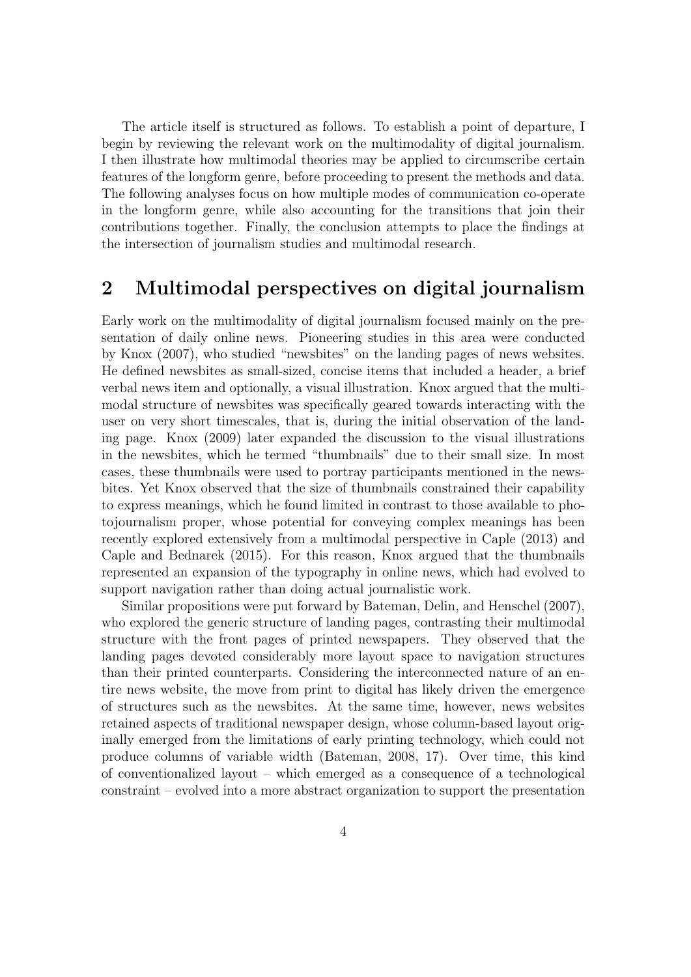The article itself is structured as follows. To establish a point of departure, I begin by reviewing the relevant work on the multimodality of digital journalism. I then illustrate how multimodal theories may be applied to circumscribe certain features of the longform genre, before proceeding to present the methods and data. The following analyses focus on how multiple modes of communication co-operate in the longform genre, while also accounting for the transitions that join their contributions together. Finally, the conclusion attempts to place the findings at the intersection of journalism studies and multimodal research.

### 2 Multimodal perspectives on digital journalism

Early work on the multimodality of digital journalism focused mainly on the presentation of daily online news. Pioneering studies in this area were conducted by Knox (2007), who studied "newsbites" on the landing pages of news websites. He defined newsbites as small-sized, concise items that included a header, a brief verbal news item and optionally, a visual illustration. Knox argued that the multimodal structure of newsbites was specifically geared towards interacting with the user on very short timescales, that is, during the initial observation of the landing page. Knox (2009) later expanded the discussion to the visual illustrations in the newsbites, which he termed "thumbnails" due to their small size. In most cases, these thumbnails were used to portray participants mentioned in the newsbites. Yet Knox observed that the size of thumbnails constrained their capability to express meanings, which he found limited in contrast to those available to photojournalism proper, whose potential for conveying complex meanings has been recently explored extensively from a multimodal perspective in Caple (2013) and Caple and Bednarek (2015). For this reason, Knox argued that the thumbnails represented an expansion of the typography in online news, which had evolved to support navigation rather than doing actual journalistic work.

Similar propositions were put forward by Bateman, Delin, and Henschel (2007), who explored the generic structure of landing pages, contrasting their multimodal structure with the front pages of printed newspapers. They observed that the landing pages devoted considerably more layout space to navigation structures than their printed counterparts. Considering the interconnected nature of an entire news website, the move from print to digital has likely driven the emergence of structures such as the newsbites. At the same time, however, news websites retained aspects of traditional newspaper design, whose column-based layout originally emerged from the limitations of early printing technology, which could not produce columns of variable width (Bateman, 2008, 17). Over time, this kind of conventionalized layout – which emerged as a consequence of a technological constraint – evolved into a more abstract organization to support the presentation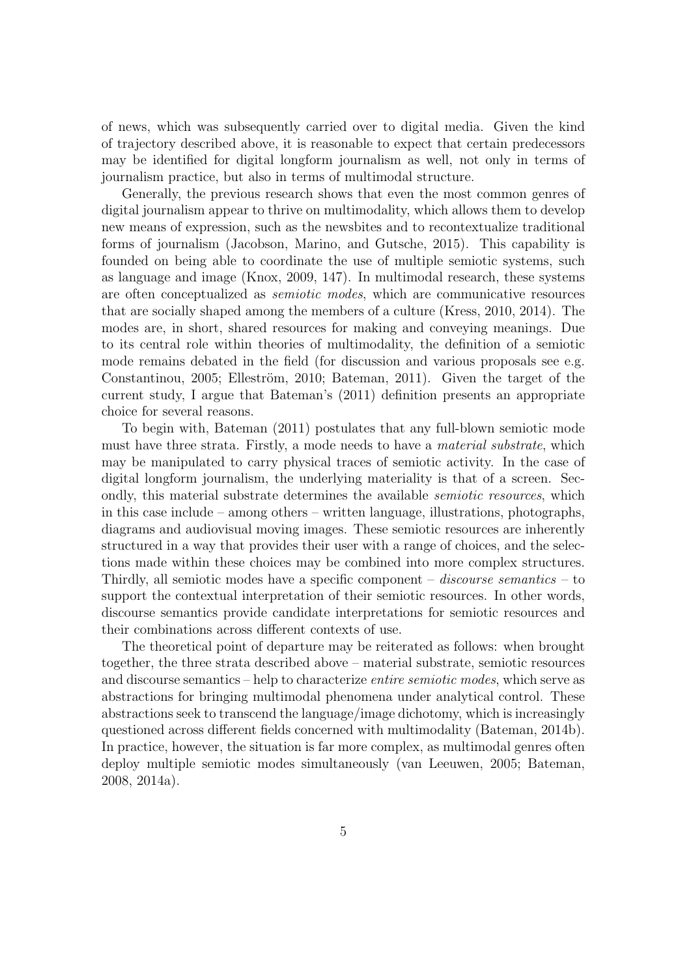of news, which was subsequently carried over to digital media. Given the kind of trajectory described above, it is reasonable to expect that certain predecessors may be identified for digital longform journalism as well, not only in terms of journalism practice, but also in terms of multimodal structure.

Generally, the previous research shows that even the most common genres of digital journalism appear to thrive on multimodality, which allows them to develop new means of expression, such as the newsbites and to recontextualize traditional forms of journalism (Jacobson, Marino, and Gutsche, 2015). This capability is founded on being able to coordinate the use of multiple semiotic systems, such as language and image (Knox, 2009, 147). In multimodal research, these systems are often conceptualized as semiotic modes, which are communicative resources that are socially shaped among the members of a culture (Kress, 2010, 2014). The modes are, in short, shared resources for making and conveying meanings. Due to its central role within theories of multimodality, the definition of a semiotic mode remains debated in the field (for discussion and various proposals see e.g. Constantinou, 2005; Elleström, 2010; Bateman, 2011). Given the target of the current study, I argue that Bateman's (2011) definition presents an appropriate choice for several reasons.

To begin with, Bateman (2011) postulates that any full-blown semiotic mode must have three strata. Firstly, a mode needs to have a material substrate, which may be manipulated to carry physical traces of semiotic activity. In the case of digital longform journalism, the underlying materiality is that of a screen. Secondly, this material substrate determines the available *semiotic resources*, which in this case include – among others – written language, illustrations, photographs, diagrams and audiovisual moving images. These semiotic resources are inherently structured in a way that provides their user with a range of choices, and the selections made within these choices may be combined into more complex structures. Thirdly, all semiotic modes have a specific component – *discourse semantics* – to support the contextual interpretation of their semiotic resources. In other words, discourse semantics provide candidate interpretations for semiotic resources and their combinations across different contexts of use.

The theoretical point of departure may be reiterated as follows: when brought together, the three strata described above – material substrate, semiotic resources and discourse semantics – help to characterize entire semiotic modes, which serve as abstractions for bringing multimodal phenomena under analytical control. These abstractions seek to transcend the language/image dichotomy, which is increasingly questioned across different fields concerned with multimodality (Bateman, 2014b). In practice, however, the situation is far more complex, as multimodal genres often deploy multiple semiotic modes simultaneously (van Leeuwen, 2005; Bateman, 2008, 2014a).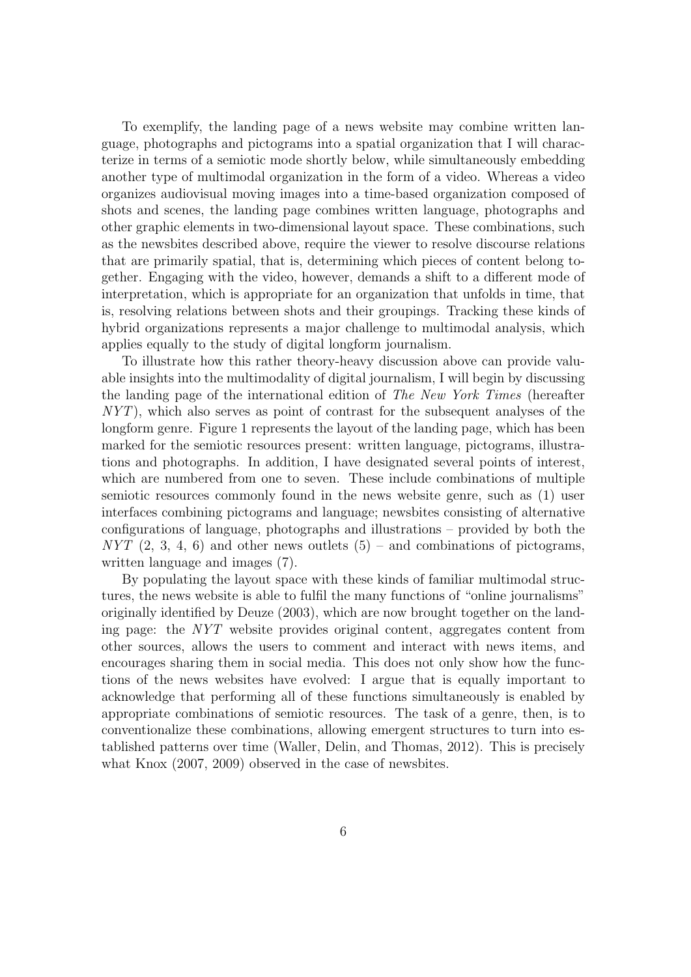To exemplify, the landing page of a news website may combine written language, photographs and pictograms into a spatial organization that I will characterize in terms of a semiotic mode shortly below, while simultaneously embedding another type of multimodal organization in the form of a video. Whereas a video organizes audiovisual moving images into a time-based organization composed of shots and scenes, the landing page combines written language, photographs and other graphic elements in two-dimensional layout space. These combinations, such as the newsbites described above, require the viewer to resolve discourse relations that are primarily spatial, that is, determining which pieces of content belong together. Engaging with the video, however, demands a shift to a different mode of interpretation, which is appropriate for an organization that unfolds in time, that is, resolving relations between shots and their groupings. Tracking these kinds of hybrid organizations represents a major challenge to multimodal analysis, which applies equally to the study of digital longform journalism.

To illustrate how this rather theory-heavy discussion above can provide valuable insights into the multimodality of digital journalism, I will begin by discussing the landing page of the international edition of The New York Times (hereafter NYT), which also serves as point of contrast for the subsequent analyses of the longform genre. Figure 1 represents the layout of the landing page, which has been marked for the semiotic resources present: written language, pictograms, illustrations and photographs. In addition, I have designated several points of interest, which are numbered from one to seven. These include combinations of multiple semiotic resources commonly found in the news website genre, such as (1) user interfaces combining pictograms and language; newsbites consisting of alternative configurations of language, photographs and illustrations – provided by both the  $NYT$  (2, 3, 4, 6) and other news outlets (5) – and combinations of pictograms, written language and images (7).

By populating the layout space with these kinds of familiar multimodal structures, the news website is able to fulfil the many functions of "online journalisms" originally identified by Deuze (2003), which are now brought together on the landing page: the NYT website provides original content, aggregates content from other sources, allows the users to comment and interact with news items, and encourages sharing them in social media. This does not only show how the functions of the news websites have evolved: I argue that is equally important to acknowledge that performing all of these functions simultaneously is enabled by appropriate combinations of semiotic resources. The task of a genre, then, is to conventionalize these combinations, allowing emergent structures to turn into established patterns over time (Waller, Delin, and Thomas, 2012). This is precisely what Knox (2007, 2009) observed in the case of newsbites.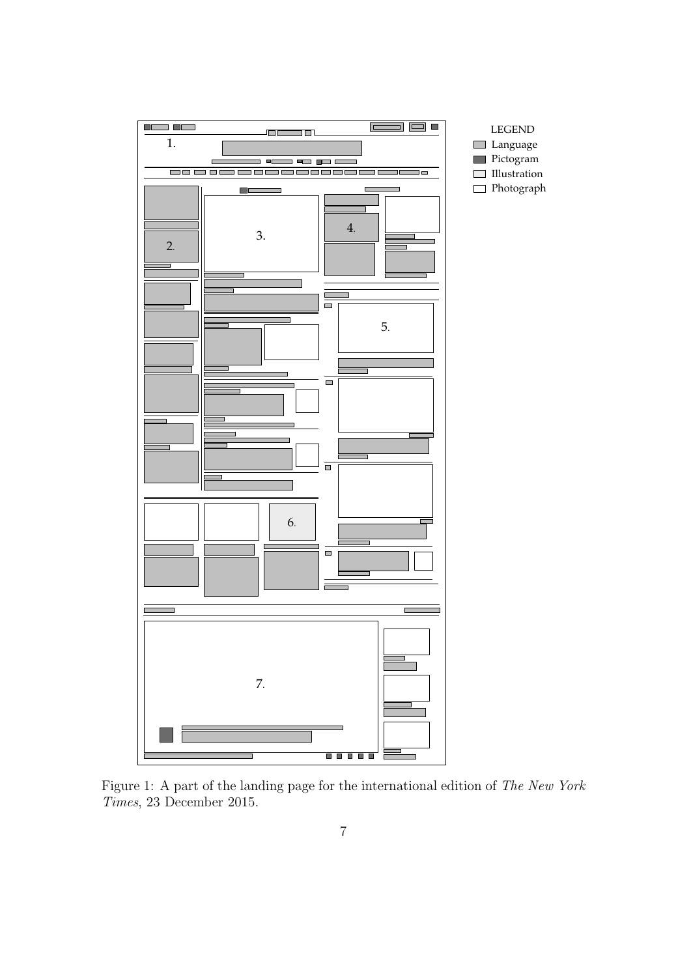

Figure 1: A part of the landing page for the international edition of The New York Times, 23 December 2015.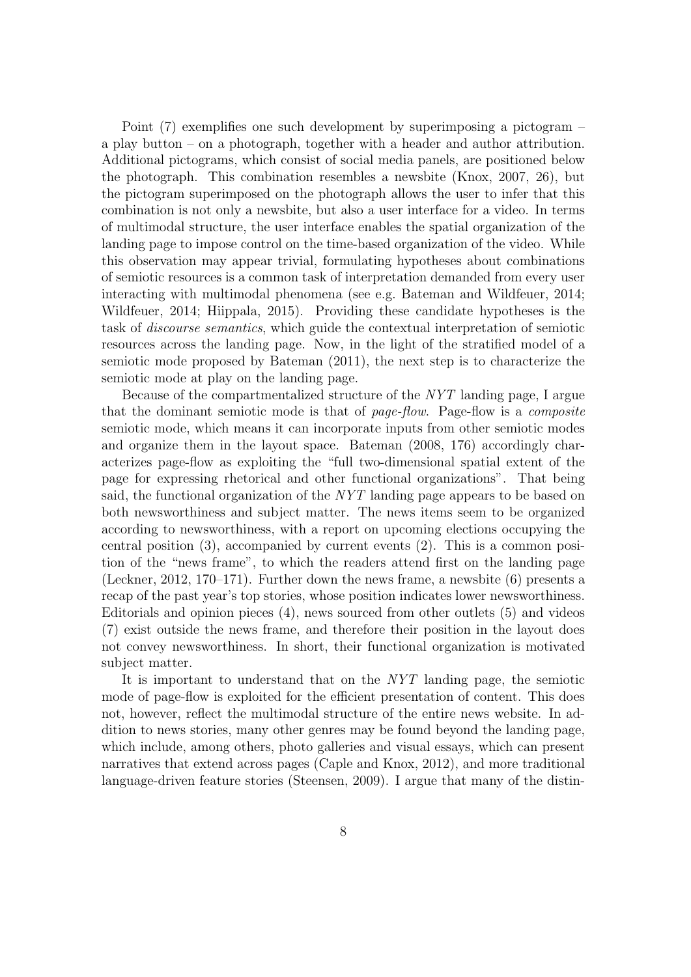Point (7) exemplifies one such development by superimposing a pictogram – a play button – on a photograph, together with a header and author attribution. Additional pictograms, which consist of social media panels, are positioned below the photograph. This combination resembles a newsbite (Knox, 2007, 26), but the pictogram superimposed on the photograph allows the user to infer that this combination is not only a newsbite, but also a user interface for a video. In terms of multimodal structure, the user interface enables the spatial organization of the landing page to impose control on the time-based organization of the video. While this observation may appear trivial, formulating hypotheses about combinations of semiotic resources is a common task of interpretation demanded from every user interacting with multimodal phenomena (see e.g. Bateman and Wildfeuer, 2014; Wildfeuer, 2014; Hiippala, 2015). Providing these candidate hypotheses is the task of discourse semantics, which guide the contextual interpretation of semiotic resources across the landing page. Now, in the light of the stratified model of a semiotic mode proposed by Bateman (2011), the next step is to characterize the semiotic mode at play on the landing page.

Because of the compartmentalized structure of the NYT landing page, I argue that the dominant semiotic mode is that of page-flow. Page-flow is a composite semiotic mode, which means it can incorporate inputs from other semiotic modes and organize them in the layout space. Bateman (2008, 176) accordingly characterizes page-flow as exploiting the "full two-dimensional spatial extent of the page for expressing rhetorical and other functional organizations". That being said, the functional organization of the NYT landing page appears to be based on both newsworthiness and subject matter. The news items seem to be organized according to newsworthiness, with a report on upcoming elections occupying the central position (3), accompanied by current events (2). This is a common position of the "news frame", to which the readers attend first on the landing page (Leckner, 2012, 170–171). Further down the news frame, a newsbite (6) presents a recap of the past year's top stories, whose position indicates lower newsworthiness. Editorials and opinion pieces (4), news sourced from other outlets (5) and videos (7) exist outside the news frame, and therefore their position in the layout does not convey newsworthiness. In short, their functional organization is motivated subject matter.

It is important to understand that on the NYT landing page, the semiotic mode of page-flow is exploited for the efficient presentation of content. This does not, however, reflect the multimodal structure of the entire news website. In addition to news stories, many other genres may be found beyond the landing page, which include, among others, photo galleries and visual essays, which can present narratives that extend across pages (Caple and Knox, 2012), and more traditional language-driven feature stories (Steensen, 2009). I argue that many of the distin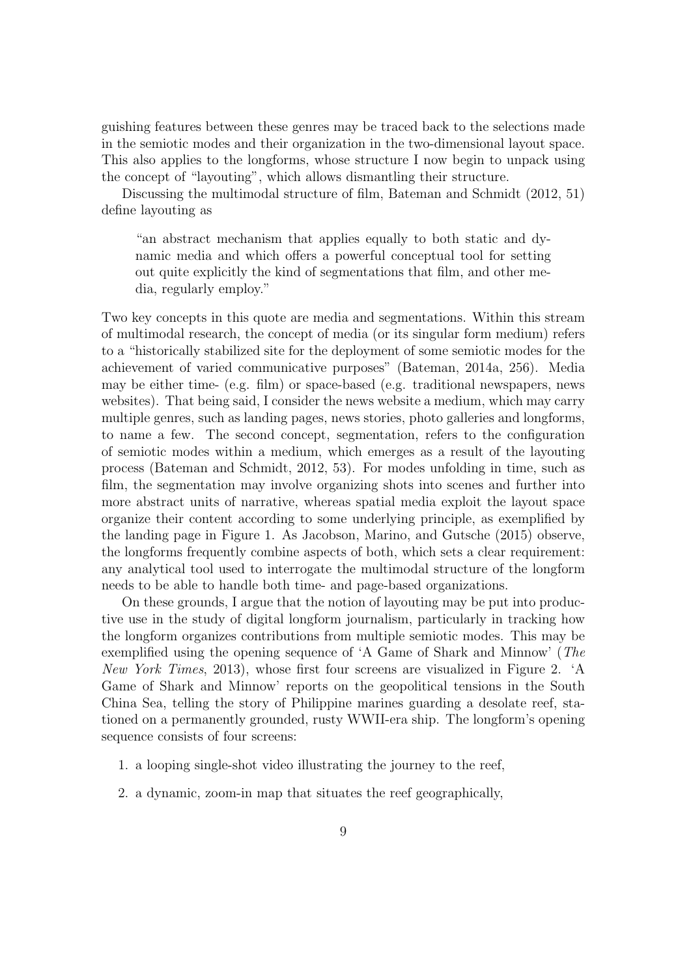guishing features between these genres may be traced back to the selections made in the semiotic modes and their organization in the two-dimensional layout space. This also applies to the longforms, whose structure I now begin to unpack using the concept of "layouting", which allows dismantling their structure.

Discussing the multimodal structure of film, Bateman and Schmidt (2012, 51) define layouting as

"an abstract mechanism that applies equally to both static and dynamic media and which offers a powerful conceptual tool for setting out quite explicitly the kind of segmentations that film, and other media, regularly employ."

Two key concepts in this quote are media and segmentations. Within this stream of multimodal research, the concept of media (or its singular form medium) refers to a "historically stabilized site for the deployment of some semiotic modes for the achievement of varied communicative purposes" (Bateman, 2014a, 256). Media may be either time- (e.g. film) or space-based (e.g. traditional newspapers, news websites). That being said, I consider the news website a medium, which may carry multiple genres, such as landing pages, news stories, photo galleries and longforms, to name a few. The second concept, segmentation, refers to the configuration of semiotic modes within a medium, which emerges as a result of the layouting process (Bateman and Schmidt, 2012, 53). For modes unfolding in time, such as film, the segmentation may involve organizing shots into scenes and further into more abstract units of narrative, whereas spatial media exploit the layout space organize their content according to some underlying principle, as exemplified by the landing page in Figure 1. As Jacobson, Marino, and Gutsche (2015) observe, the longforms frequently combine aspects of both, which sets a clear requirement: any analytical tool used to interrogate the multimodal structure of the longform needs to be able to handle both time- and page-based organizations.

On these grounds, I argue that the notion of layouting may be put into productive use in the study of digital longform journalism, particularly in tracking how the longform organizes contributions from multiple semiotic modes. This may be exemplified using the opening sequence of 'A Game of Shark and Minnow' (The New York Times, 2013), whose first four screens are visualized in Figure 2. 'A Game of Shark and Minnow' reports on the geopolitical tensions in the South China Sea, telling the story of Philippine marines guarding a desolate reef, stationed on a permanently grounded, rusty WWII-era ship. The longform's opening sequence consists of four screens:

- 1. a looping single-shot video illustrating the journey to the reef,
- 2. a dynamic, zoom-in map that situates the reef geographically,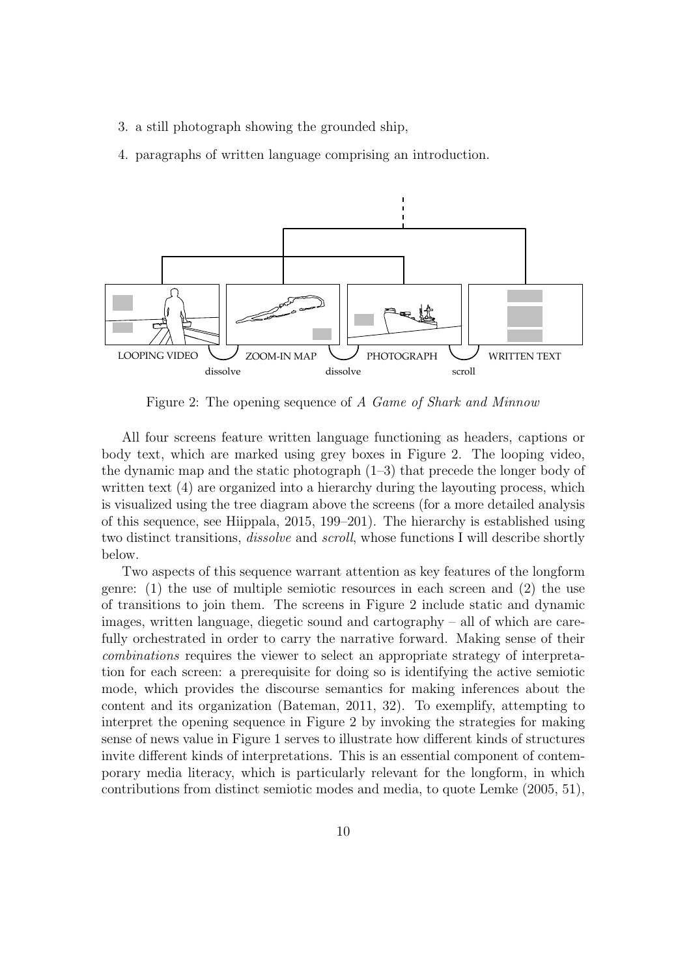- 3. a still photograph showing the grounded ship,
- 4. paragraphs of written language comprising an introduction.



Figure 2: The opening sequence of A Game of Shark and Minnow

All four screens feature written language functioning as headers, captions or body text, which are marked using grey boxes in Figure 2. The looping video, the dynamic map and the static photograph (1–3) that precede the longer body of written text  $(4)$  are organized into a hierarchy during the layouting process, which is visualized using the tree diagram above the screens (for a more detailed analysis of this sequence, see Hiippala, 2015, 199–201). The hierarchy is established using two distinct transitions, dissolve and scroll, whose functions I will describe shortly below.

Two aspects of this sequence warrant attention as key features of the longform genre: (1) the use of multiple semiotic resources in each screen and (2) the use of transitions to join them. The screens in Figure 2 include static and dynamic images, written language, diegetic sound and cartography – all of which are carefully orchestrated in order to carry the narrative forward. Making sense of their combinations requires the viewer to select an appropriate strategy of interpretation for each screen: a prerequisite for doing so is identifying the active semiotic mode, which provides the discourse semantics for making inferences about the content and its organization (Bateman, 2011, 32). To exemplify, attempting to interpret the opening sequence in Figure 2 by invoking the strategies for making sense of news value in Figure 1 serves to illustrate how different kinds of structures invite different kinds of interpretations. This is an essential component of contemporary media literacy, which is particularly relevant for the longform, in which contributions from distinct semiotic modes and media, to quote Lemke (2005, 51),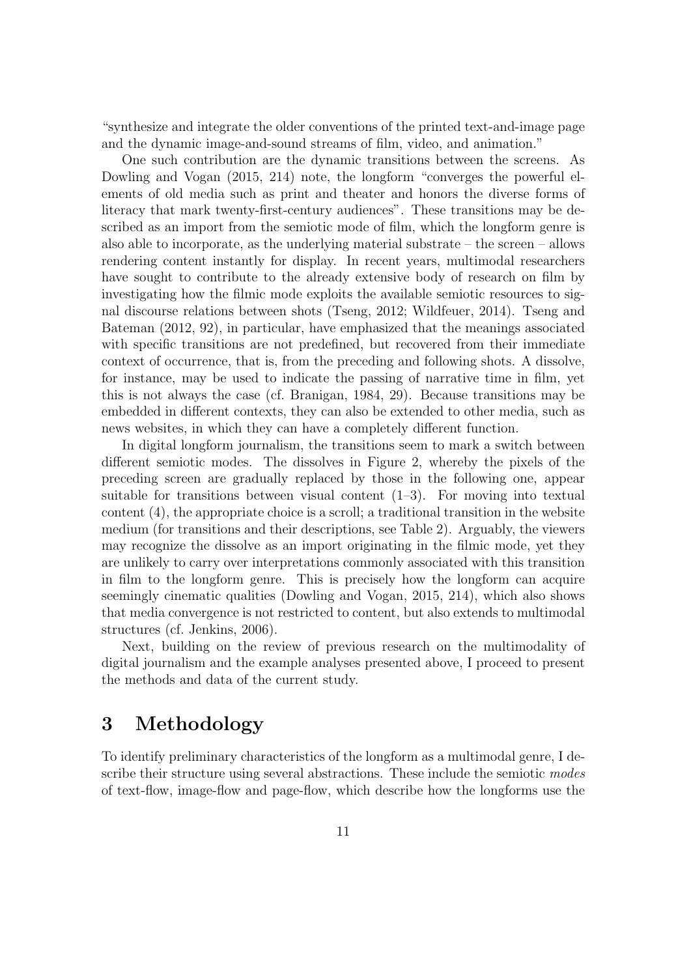"synthesize and integrate the older conventions of the printed text-and-image page and the dynamic image-and-sound streams of film, video, and animation."

One such contribution are the dynamic transitions between the screens. As Dowling and Vogan (2015, 214) note, the longform "converges the powerful elements of old media such as print and theater and honors the diverse forms of literacy that mark twenty-first-century audiences". These transitions may be described as an import from the semiotic mode of film, which the longform genre is also able to incorporate, as the underlying material substrate – the screen – allows rendering content instantly for display. In recent years, multimodal researchers have sought to contribute to the already extensive body of research on film by investigating how the filmic mode exploits the available semiotic resources to signal discourse relations between shots (Tseng, 2012; Wildfeuer, 2014). Tseng and Bateman (2012, 92), in particular, have emphasized that the meanings associated with specific transitions are not predefined, but recovered from their immediate context of occurrence, that is, from the preceding and following shots. A dissolve, for instance, may be used to indicate the passing of narrative time in film, yet this is not always the case (cf. Branigan, 1984, 29). Because transitions may be embedded in different contexts, they can also be extended to other media, such as news websites, in which they can have a completely different function.

In digital longform journalism, the transitions seem to mark a switch between different semiotic modes. The dissolves in Figure 2, whereby the pixels of the preceding screen are gradually replaced by those in the following one, appear suitable for transitions between visual content  $(1-3)$ . For moving into textual content (4), the appropriate choice is a scroll; a traditional transition in the website medium (for transitions and their descriptions, see Table 2). Arguably, the viewers may recognize the dissolve as an import originating in the filmic mode, yet they are unlikely to carry over interpretations commonly associated with this transition in film to the longform genre. This is precisely how the longform can acquire seemingly cinematic qualities (Dowling and Vogan, 2015, 214), which also shows that media convergence is not restricted to content, but also extends to multimodal structures (cf. Jenkins, 2006).

Next, building on the review of previous research on the multimodality of digital journalism and the example analyses presented above, I proceed to present the methods and data of the current study.

### 3 Methodology

To identify preliminary characteristics of the longform as a multimodal genre, I describe their structure using several abstractions. These include the semiotic modes of text-flow, image-flow and page-flow, which describe how the longforms use the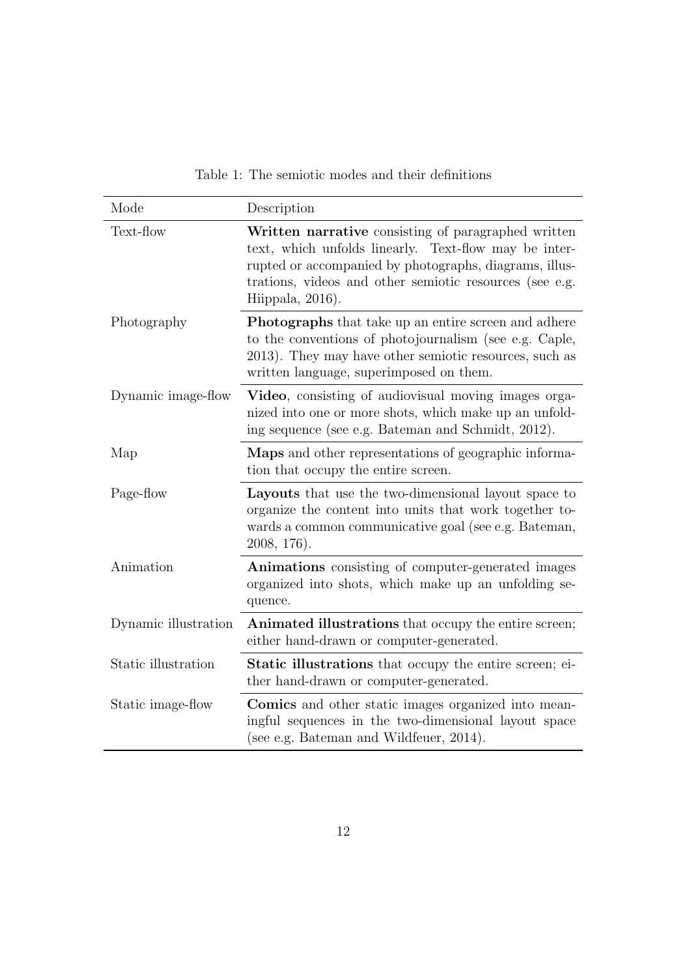| Mode                 | Description                                                                                                                                                                                                                                           |
|----------------------|-------------------------------------------------------------------------------------------------------------------------------------------------------------------------------------------------------------------------------------------------------|
| Text-flow            | Written narrative consisting of paragraphed written<br>text, which unfolds linearly. Text-flow may be inter-<br>rupted or accompanied by photographs, diagrams, illus-<br>trations, videos and other semiotic resources (see e.g.<br>Hiippala, 2016). |
| Photography          | <b>Photographs</b> that take up an entire screen and adhere<br>to the conventions of photojournalism (see e.g. Caple,<br>2013). They may have other semiotic resources, such as<br>written language, superimposed on them.                            |
| Dynamic image-flow   | Video, consisting of audiovisual moving images orga-<br>nized into one or more shots, which make up an unfold-<br>ing sequence (see e.g. Bateman and Schmidt, 2012).                                                                                  |
| Map                  | Maps and other representations of geographic informa-<br>tion that occupy the entire screen.                                                                                                                                                          |
| Page-flow            | <b>Layouts</b> that use the two-dimensional layout space to<br>organize the content into units that work together to-<br>wards a common communicative goal (see e.g. Bateman,<br>2008, 176).                                                          |
| Animation            | Animations consisting of computer-generated images<br>organized into shots, which make up an unfolding se-<br>quence.                                                                                                                                 |
| Dynamic illustration | Animated illustrations that occupy the entire screen;<br>either hand-drawn or computer-generated.                                                                                                                                                     |
| Static illustration  | <b>Static illustrations</b> that occupy the entire screen; ei-<br>ther hand-drawn or computer-generated.                                                                                                                                              |
| Static image-flow    | <b>Comics</b> and other static images organized into mean-<br>ingful sequences in the two-dimensional layout space<br>(see e.g. Bateman and Wildfeuer, 2014).                                                                                         |

Table 1: The semiotic modes and their definitions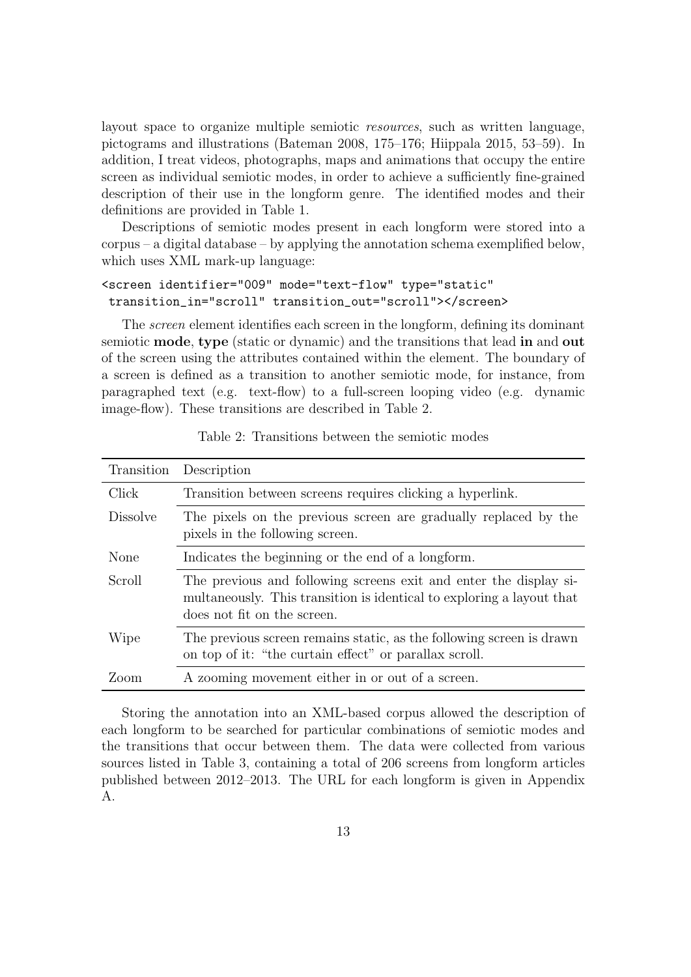layout space to organize multiple semiotic resources, such as written language, pictograms and illustrations (Bateman 2008, 175–176; Hiippala 2015, 53–59). In addition, I treat videos, photographs, maps and animations that occupy the entire screen as individual semiotic modes, in order to achieve a sufficiently fine-grained description of their use in the longform genre. The identified modes and their definitions are provided in Table 1.

Descriptions of semiotic modes present in each longform were stored into a corpus – a digital database – by applying the annotation schema exemplified below, which uses XML mark-up language:

#### <screen identifier="009" mode="text-flow" type="static" transition\_in="scroll" transition\_out="scroll"></screen>

The screen element identifies each screen in the longform, defining its dominant semiotic mode, type (static or dynamic) and the transitions that lead in and out of the screen using the attributes contained within the element. The boundary of a screen is defined as a transition to another semiotic mode, for instance, from paragraphed text (e.g. text-flow) to a full-screen looping video (e.g. dynamic image-flow). These transitions are described in Table 2.

| Transition      | Description                                                                                                                                                               |
|-----------------|---------------------------------------------------------------------------------------------------------------------------------------------------------------------------|
| Click           | Transition between screens requires clicking a hyperlink.                                                                                                                 |
| <i>Dissolve</i> | The pixels on the previous screen are gradually replaced by the<br>pixels in the following screen.                                                                        |
| None            | Indicates the beginning or the end of a longform.                                                                                                                         |
| Scroll          | The previous and following screens exit and enter the display si-<br>multaneously. This transition is identical to exploring a layout that<br>does not fit on the screen. |
| Wipe            | The previous screen remains static, as the following screen is drawn<br>on top of it: "the curtain effect" or parallax scroll.                                            |
| Zoom            | A zooming movement either in or out of a screen.                                                                                                                          |

Table 2: Transitions between the semiotic modes

Storing the annotation into an XML-based corpus allowed the description of each longform to be searched for particular combinations of semiotic modes and the transitions that occur between them. The data were collected from various sources listed in Table 3, containing a total of 206 screens from longform articles published between 2012–2013. The URL for each longform is given in Appendix A.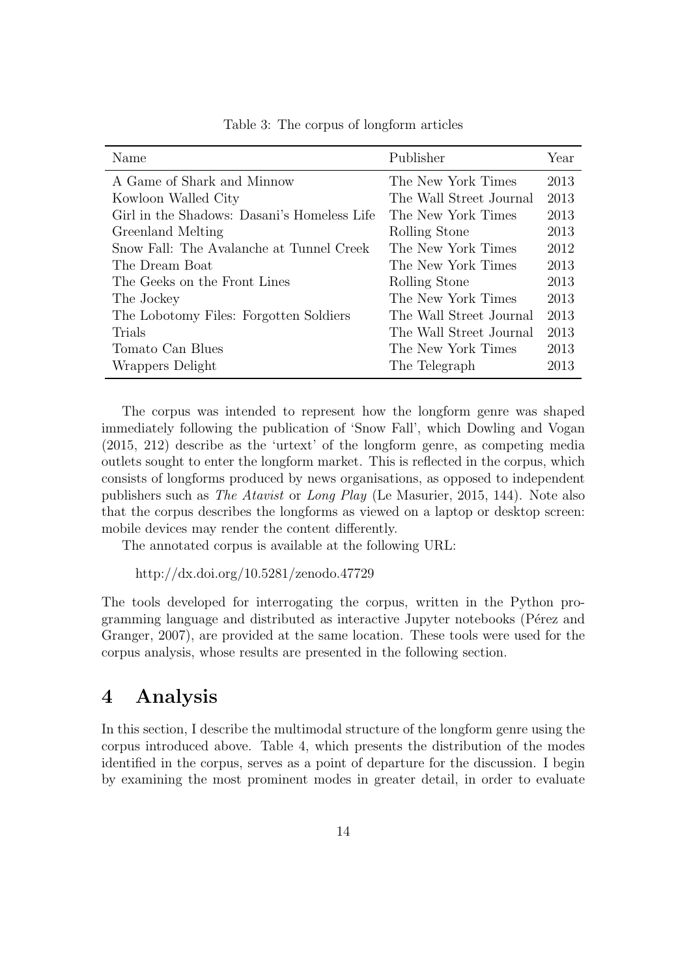| Name                                        | Publisher               | Year |
|---------------------------------------------|-------------------------|------|
| A Game of Shark and Minnow                  | The New York Times      | 2013 |
| Kowloon Walled City                         | The Wall Street Journal | 2013 |
| Girl in the Shadows: Dasani's Homeless Life | The New York Times      | 2013 |
| Greenland Melting                           | Rolling Stone           | 2013 |
| Snow Fall: The Avalanche at Tunnel Creek    | The New York Times      | 2012 |
| The Dream Boat                              | The New York Times      | 2013 |
| The Geeks on the Front Lines                | Rolling Stone           | 2013 |
| The Jockey                                  | The New York Times      | 2013 |
| The Lobotomy Files: Forgotten Soldiers      | The Wall Street Journal | 2013 |
| Trials                                      | The Wall Street Journal | 2013 |
| Tomato Can Blues                            | The New York Times      | 2013 |
| Wrappers Delight                            | The Telegraph           | 2013 |

Table 3: The corpus of longform articles

The corpus was intended to represent how the longform genre was shaped immediately following the publication of 'Snow Fall', which Dowling and Vogan (2015, 212) describe as the 'urtext' of the longform genre, as competing media outlets sought to enter the longform market. This is reflected in the corpus, which consists of longforms produced by news organisations, as opposed to independent publishers such as The Atavist or Long Play (Le Masurier, 2015, 144). Note also that the corpus describes the longforms as viewed on a laptop or desktop screen: mobile devices may render the content differently.

The annotated corpus is available at the following URL:

http://dx.doi.org/10.5281/zenodo.47729

The tools developed for interrogating the corpus, written in the Python programming language and distributed as interactive Jupyter notebooks (Pérez and Granger, 2007), are provided at the same location. These tools were used for the corpus analysis, whose results are presented in the following section.

### 4 Analysis

In this section, I describe the multimodal structure of the longform genre using the corpus introduced above. Table 4, which presents the distribution of the modes identified in the corpus, serves as a point of departure for the discussion. I begin by examining the most prominent modes in greater detail, in order to evaluate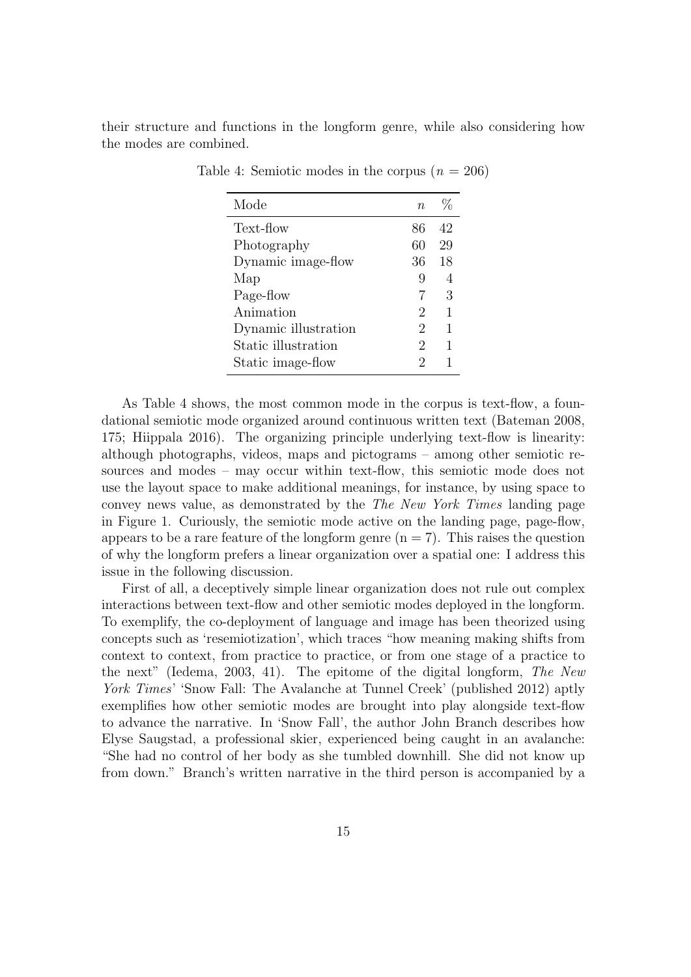their structure and functions in the longform genre, while also considering how the modes are combined.

| Mode                 | $n_{\rm}$ | %  |
|----------------------|-----------|----|
| Text-flow            | 86        | 42 |
| Photography          | 60        | 29 |
| Dynamic image-flow   | 36        | 18 |
| Map                  | 9         | 4  |
| Page-flow            | 7         | 3  |
| Animation            | 2         | 1  |
| Dynamic illustration | 2         | 1  |
| Static illustration  | 2         | 1  |
| Static image-flow    | 2         |    |

Table 4: Semiotic modes in the corpus  $(n = 206)$ 

As Table 4 shows, the most common mode in the corpus is text-flow, a foundational semiotic mode organized around continuous written text (Bateman 2008, 175; Hiippala 2016). The organizing principle underlying text-flow is linearity: although photographs, videos, maps and pictograms – among other semiotic resources and modes – may occur within text-flow, this semiotic mode does not use the layout space to make additional meanings, for instance, by using space to convey news value, as demonstrated by the The New York Times landing page in Figure 1. Curiously, the semiotic mode active on the landing page, page-flow, appears to be a rare feature of the longform genre  $(n = 7)$ . This raises the question of why the longform prefers a linear organization over a spatial one: I address this issue in the following discussion.

First of all, a deceptively simple linear organization does not rule out complex interactions between text-flow and other semiotic modes deployed in the longform. To exemplify, the co-deployment of language and image has been theorized using concepts such as 'resemiotization', which traces "how meaning making shifts from context to context, from practice to practice, or from one stage of a practice to the next" (Iedema, 2003, 41). The epitome of the digital longform, The New York Times' 'Snow Fall: The Avalanche at Tunnel Creek' (published 2012) aptly exemplifies how other semiotic modes are brought into play alongside text-flow to advance the narrative. In 'Snow Fall', the author John Branch describes how Elyse Saugstad, a professional skier, experienced being caught in an avalanche: "She had no control of her body as she tumbled downhill. She did not know up from down." Branch's written narrative in the third person is accompanied by a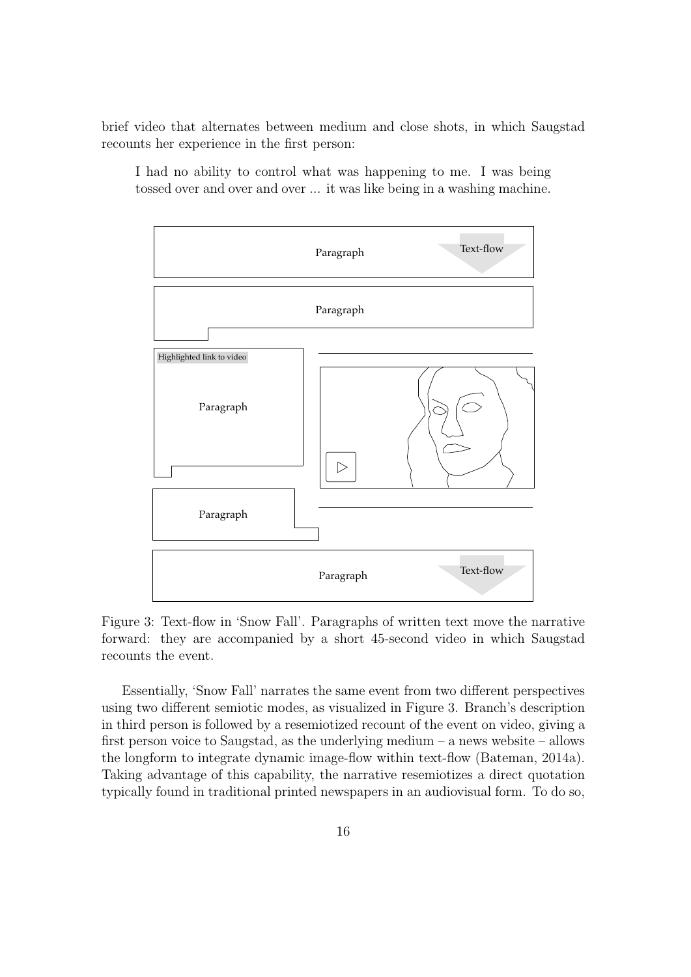brief video that alternates between medium and close shots, in which Saugstad recounts her experience in the first person:

I had no ability to control what was happening to me. I was being tossed over and over and over ... it was like being in a washing machine.



Figure 3: Text-flow in 'Snow Fall'. Paragraphs of written text move the narrative forward: they are accompanied by a short 45-second video in which Saugstad recounts the event.

Essentially, 'Snow Fall' narrates the same event from two different perspectives using two different semiotic modes, as visualized in Figure 3. Branch's description in third person is followed by a resemiotized recount of the event on video, giving a first person voice to Saugstad, as the underlying medium – a news website – allows the longform to integrate dynamic image-flow within text-flow (Bateman, 2014a). Taking advantage of this capability, the narrative resemiotizes a direct quotation typically found in traditional printed newspapers in an audiovisual form. To do so,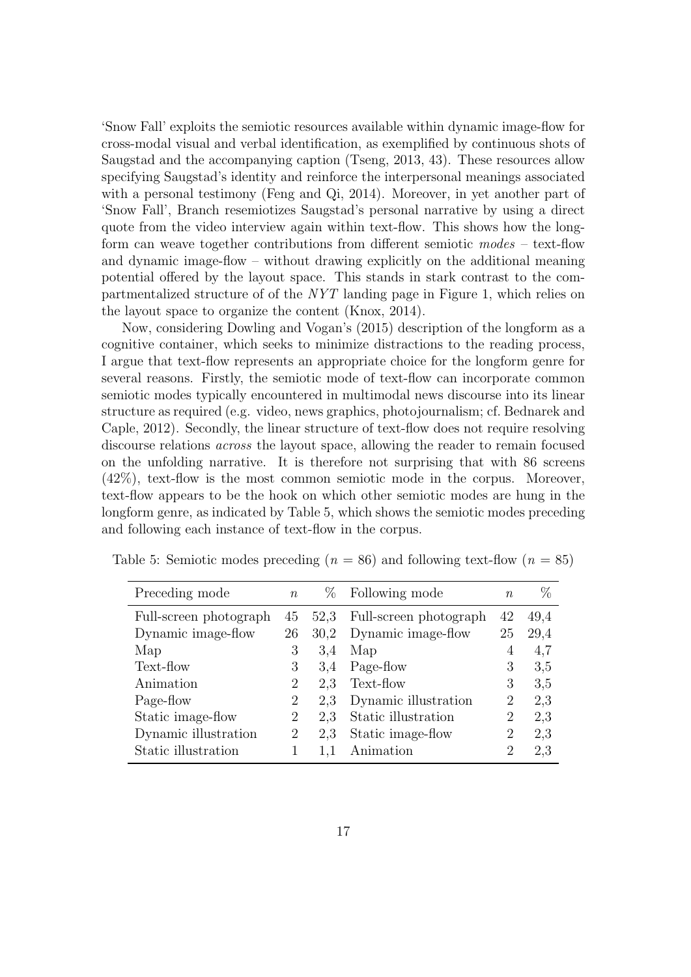'Snow Fall' exploits the semiotic resources available within dynamic image-flow for cross-modal visual and verbal identification, as exemplified by continuous shots of Saugstad and the accompanying caption (Tseng, 2013, 43). These resources allow specifying Saugstad's identity and reinforce the interpersonal meanings associated with a personal testimony (Feng and Qi, 2014). Moreover, in yet another part of 'Snow Fall', Branch resemiotizes Saugstad's personal narrative by using a direct quote from the video interview again within text-flow. This shows how the longform can weave together contributions from different semiotic modes – text-flow and dynamic image-flow – without drawing explicitly on the additional meaning potential offered by the layout space. This stands in stark contrast to the compartmentalized structure of of the NYT landing page in Figure 1, which relies on the layout space to organize the content (Knox, 2014).

Now, considering Dowling and Vogan's (2015) description of the longform as a cognitive container, which seeks to minimize distractions to the reading process, I argue that text-flow represents an appropriate choice for the longform genre for several reasons. Firstly, the semiotic mode of text-flow can incorporate common semiotic modes typically encountered in multimodal news discourse into its linear structure as required (e.g. video, news graphics, photojournalism; cf. Bednarek and Caple, 2012). Secondly, the linear structure of text-flow does not require resolving discourse relations across the layout space, allowing the reader to remain focused on the unfolding narrative. It is therefore not surprising that with 86 screens (42%), text-flow is the most common semiotic mode in the corpus. Moreover, text-flow appears to be the hook on which other semiotic modes are hung in the longform genre, as indicated by Table 5, which shows the semiotic modes preceding and following each instance of text-flow in the corpus.

| Preceding mode         | $\eta$ | $\%$ | Following mode         | n              | $\%$ |
|------------------------|--------|------|------------------------|----------------|------|
| Full-screen photograph | 45     | 52,3 | Full-screen photograph | 42             | 49,4 |
| Dynamic image-flow     | 26     | 30,2 | Dynamic image-flow     | 25             | 29,4 |
| Map                    | 3      | 3.4  | Map                    | 4              | 4,7  |
| Text-flow              | 3      | 3,4  | Page-flow              | 3              | 3,5  |
| Animation              | 2      | 2.3  | Text-flow              | 3              | 3.5  |
| Page-flow              | 2      | 2.3  | Dynamic illustration   | 2              | 2,3  |
| Static image-flow      | 2      | 2.3  | Static illustration    | 2              | 2.3  |
| Dynamic illustration   | 2      | 2,3  | Static image-flow      | $\overline{2}$ | 2,3  |
| Static illustration    |        | 1,1  | Animation              | 2              | 2.3  |

Table 5: Semiotic modes preceding  $(n = 86)$  and following text-flow  $(n = 85)$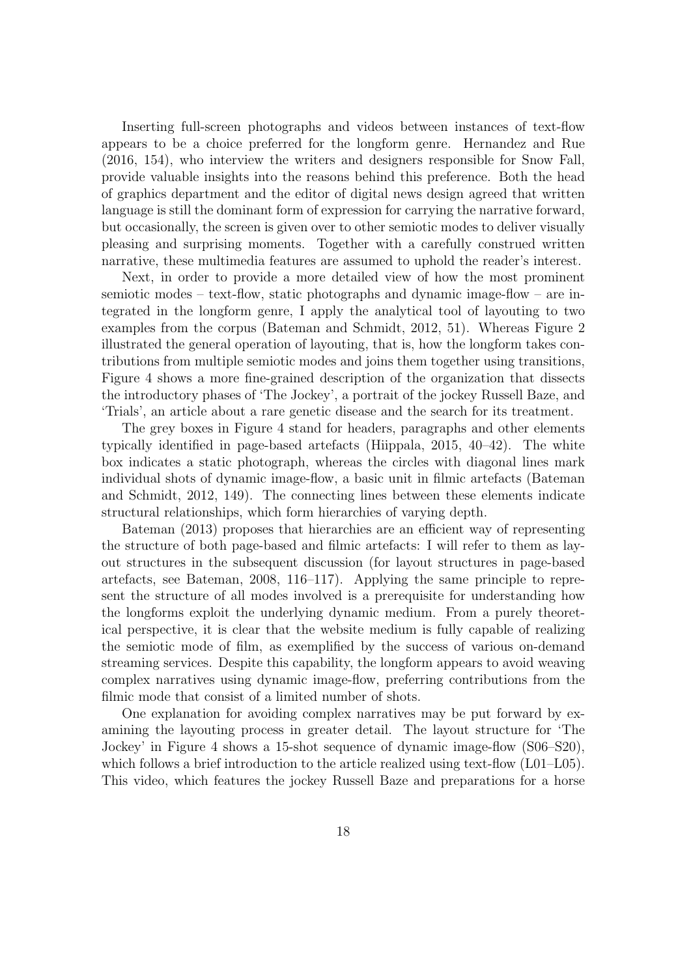Inserting full-screen photographs and videos between instances of text-flow appears to be a choice preferred for the longform genre. Hernandez and Rue (2016, 154), who interview the writers and designers responsible for Snow Fall, provide valuable insights into the reasons behind this preference. Both the head of graphics department and the editor of digital news design agreed that written language is still the dominant form of expression for carrying the narrative forward, but occasionally, the screen is given over to other semiotic modes to deliver visually pleasing and surprising moments. Together with a carefully construed written narrative, these multimedia features are assumed to uphold the reader's interest.

Next, in order to provide a more detailed view of how the most prominent semiotic modes – text-flow, static photographs and dynamic image-flow – are integrated in the longform genre, I apply the analytical tool of layouting to two examples from the corpus (Bateman and Schmidt, 2012, 51). Whereas Figure 2 illustrated the general operation of layouting, that is, how the longform takes contributions from multiple semiotic modes and joins them together using transitions, Figure 4 shows a more fine-grained description of the organization that dissects the introductory phases of 'The Jockey', a portrait of the jockey Russell Baze, and 'Trials', an article about a rare genetic disease and the search for its treatment.

The grey boxes in Figure 4 stand for headers, paragraphs and other elements typically identified in page-based artefacts (Hiippala, 2015, 40–42). The white box indicates a static photograph, whereas the circles with diagonal lines mark individual shots of dynamic image-flow, a basic unit in filmic artefacts (Bateman and Schmidt, 2012, 149). The connecting lines between these elements indicate structural relationships, which form hierarchies of varying depth.

Bateman (2013) proposes that hierarchies are an efficient way of representing the structure of both page-based and filmic artefacts: I will refer to them as layout structures in the subsequent discussion (for layout structures in page-based artefacts, see Bateman, 2008, 116–117). Applying the same principle to represent the structure of all modes involved is a prerequisite for understanding how the longforms exploit the underlying dynamic medium. From a purely theoretical perspective, it is clear that the website medium is fully capable of realizing the semiotic mode of film, as exemplified by the success of various on-demand streaming services. Despite this capability, the longform appears to avoid weaving complex narratives using dynamic image-flow, preferring contributions from the filmic mode that consist of a limited number of shots.

One explanation for avoiding complex narratives may be put forward by examining the layouting process in greater detail. The layout structure for 'The Jockey' in Figure 4 shows a 15-shot sequence of dynamic image-flow (S06–S20), which follows a brief introduction to the article realized using text-flow  $(L01-L05)$ . This video, which features the jockey Russell Baze and preparations for a horse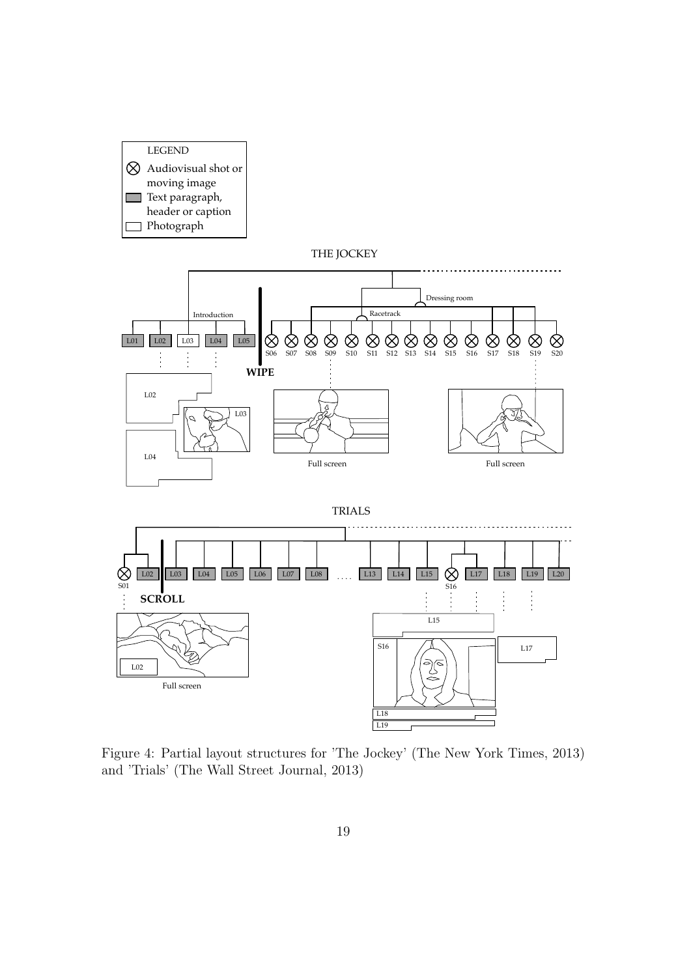

L02

Full screen







L18  $\overline{L19}$ 

 $S16$   $\longrightarrow$   $\longrightarrow$   $\longrightarrow$  L17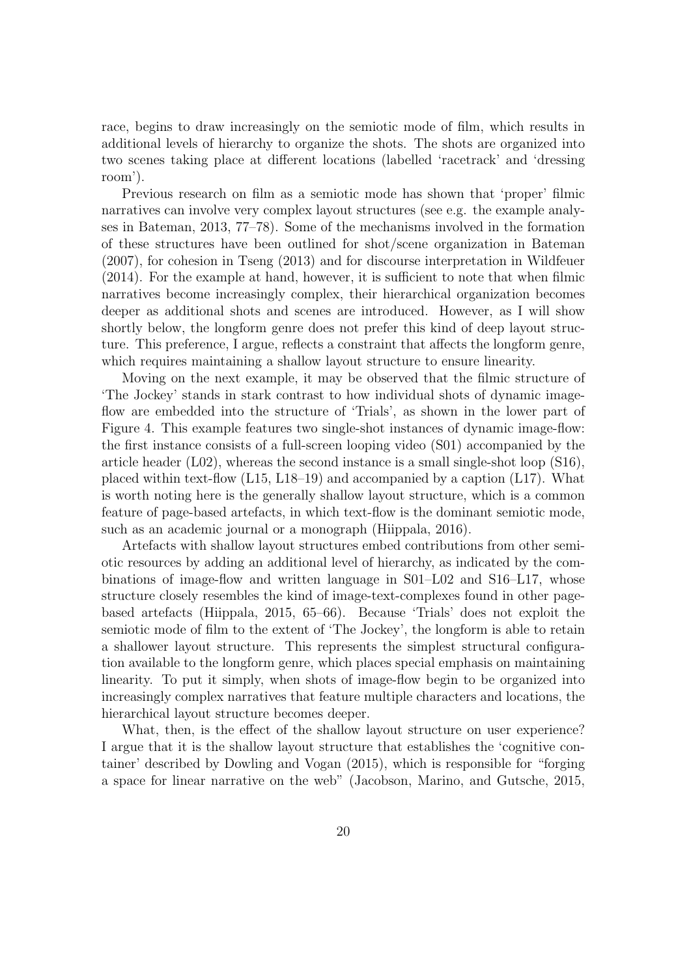race, begins to draw increasingly on the semiotic mode of film, which results in additional levels of hierarchy to organize the shots. The shots are organized into two scenes taking place at different locations (labelled 'racetrack' and 'dressing room').

Previous research on film as a semiotic mode has shown that 'proper' filmic narratives can involve very complex layout structures (see e.g. the example analyses in Bateman, 2013, 77–78). Some of the mechanisms involved in the formation of these structures have been outlined for shot/scene organization in Bateman (2007), for cohesion in Tseng (2013) and for discourse interpretation in Wildfeuer (2014). For the example at hand, however, it is sufficient to note that when filmic narratives become increasingly complex, their hierarchical organization becomes deeper as additional shots and scenes are introduced. However, as I will show shortly below, the longform genre does not prefer this kind of deep layout structure. This preference, I argue, reflects a constraint that affects the longform genre, which requires maintaining a shallow layout structure to ensure linearity.

Moving on the next example, it may be observed that the filmic structure of 'The Jockey' stands in stark contrast to how individual shots of dynamic imageflow are embedded into the structure of 'Trials', as shown in the lower part of Figure 4. This example features two single-shot instances of dynamic image-flow: the first instance consists of a full-screen looping video (S01) accompanied by the article header (L02), whereas the second instance is a small single-shot loop (S16), placed within text-flow (L15, L18–19) and accompanied by a caption (L17). What is worth noting here is the generally shallow layout structure, which is a common feature of page-based artefacts, in which text-flow is the dominant semiotic mode, such as an academic journal or a monograph (Hiippala, 2016).

Artefacts with shallow layout structures embed contributions from other semiotic resources by adding an additional level of hierarchy, as indicated by the combinations of image-flow and written language in S01–L02 and S16–L17, whose structure closely resembles the kind of image-text-complexes found in other pagebased artefacts (Hiippala, 2015, 65–66). Because 'Trials' does not exploit the semiotic mode of film to the extent of 'The Jockey', the longform is able to retain a shallower layout structure. This represents the simplest structural configuration available to the longform genre, which places special emphasis on maintaining linearity. To put it simply, when shots of image-flow begin to be organized into increasingly complex narratives that feature multiple characters and locations, the hierarchical layout structure becomes deeper.

What, then, is the effect of the shallow layout structure on user experience? I argue that it is the shallow layout structure that establishes the 'cognitive container' described by Dowling and Vogan (2015), which is responsible for "forging a space for linear narrative on the web" (Jacobson, Marino, and Gutsche, 2015,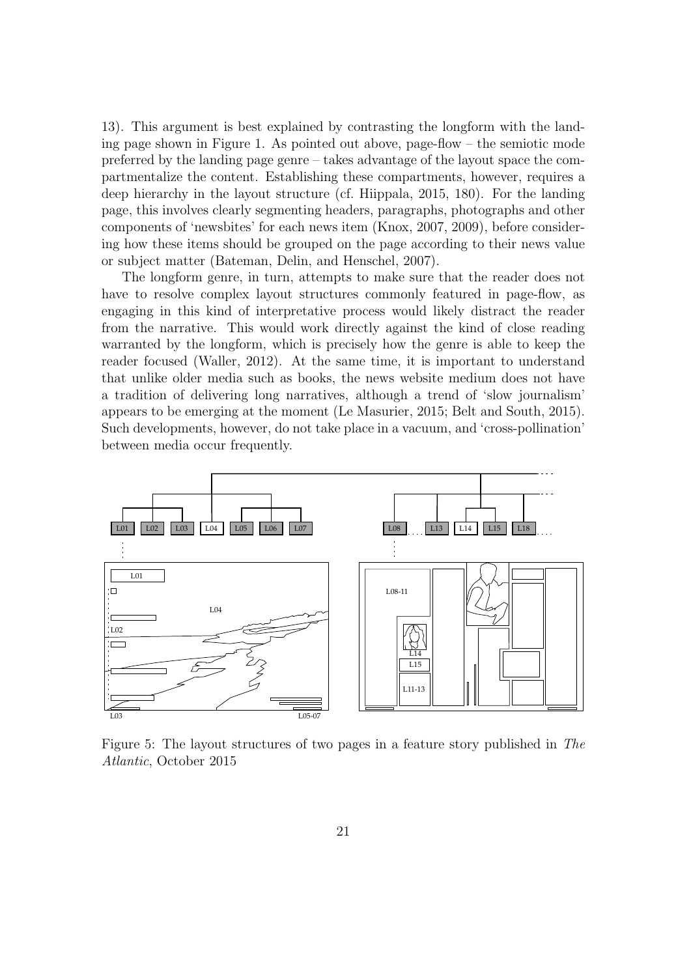13). This argument is best explained by contrasting the longform with the landing page shown in Figure 1. As pointed out above, page-flow – the semiotic mode preferred by the landing page genre – takes advantage of the layout space the compartmentalize the content. Establishing these compartments, however, requires a deep hierarchy in the layout structure (cf. Hiippala, 2015, 180). For the landing page, this involves clearly segmenting headers, paragraphs, photographs and other components of 'newsbites' for each news item (Knox, 2007, 2009), before considering how these items should be grouped on the page according to their news value or subject matter (Bateman, Delin, and Henschel, 2007).

The longform genre, in turn, attempts to make sure that the reader does not have to resolve complex layout structures commonly featured in page-flow, as engaging in this kind of interpretative process would likely distract the reader from the narrative. This would work directly against the kind of close reading warranted by the longform, which is precisely how the genre is able to keep the reader focused (Waller, 2012). At the same time, it is important to understand that unlike older media such as books, the news website medium does not have a tradition of delivering long narratives, although a trend of 'slow journalism' appears to be emerging at the moment (Le Masurier, 2015; Belt and South, 2015). Such developments, however, do not take place in a vacuum, and 'cross-pollination' between media occur frequently.



Figure 5: The layout structures of two pages in a feature story published in The Atlantic, October 2015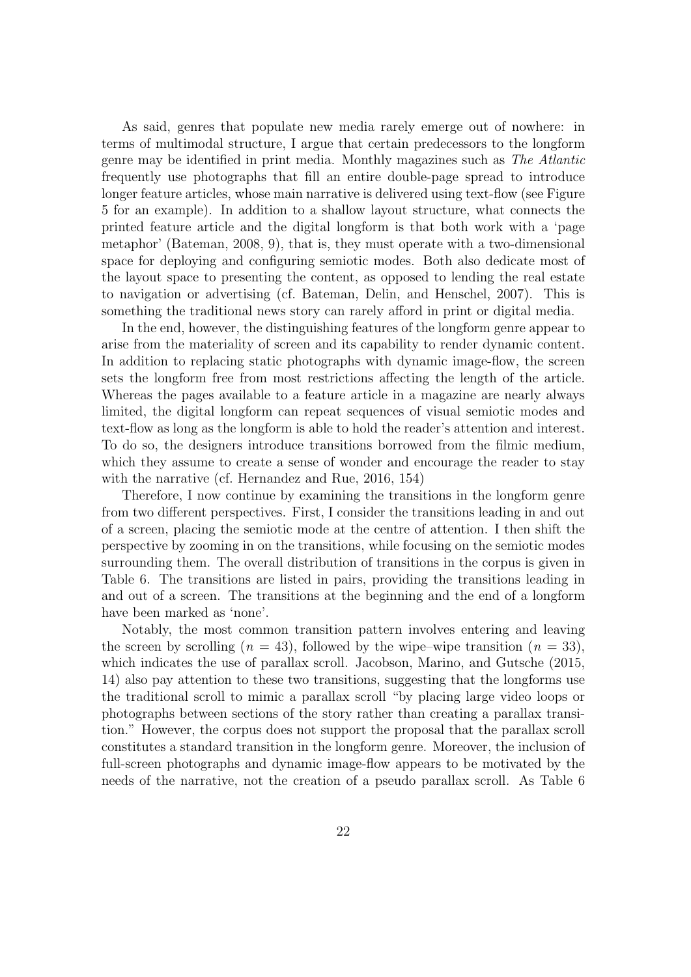As said, genres that populate new media rarely emerge out of nowhere: in terms of multimodal structure, I argue that certain predecessors to the longform genre may be identified in print media. Monthly magazines such as The Atlantic frequently use photographs that fill an entire double-page spread to introduce longer feature articles, whose main narrative is delivered using text-flow (see Figure 5 for an example). In addition to a shallow layout structure, what connects the printed feature article and the digital longform is that both work with a 'page metaphor' (Bateman, 2008, 9), that is, they must operate with a two-dimensional space for deploying and configuring semiotic modes. Both also dedicate most of the layout space to presenting the content, as opposed to lending the real estate to navigation or advertising (cf. Bateman, Delin, and Henschel, 2007). This is something the traditional news story can rarely afford in print or digital media.

In the end, however, the distinguishing features of the longform genre appear to arise from the materiality of screen and its capability to render dynamic content. In addition to replacing static photographs with dynamic image-flow, the screen sets the longform free from most restrictions affecting the length of the article. Whereas the pages available to a feature article in a magazine are nearly always limited, the digital longform can repeat sequences of visual semiotic modes and text-flow as long as the longform is able to hold the reader's attention and interest. To do so, the designers introduce transitions borrowed from the filmic medium, which they assume to create a sense of wonder and encourage the reader to stay with the narrative (cf. Hernandez and Rue, 2016, 154)

Therefore, I now continue by examining the transitions in the longform genre from two different perspectives. First, I consider the transitions leading in and out of a screen, placing the semiotic mode at the centre of attention. I then shift the perspective by zooming in on the transitions, while focusing on the semiotic modes surrounding them. The overall distribution of transitions in the corpus is given in Table 6. The transitions are listed in pairs, providing the transitions leading in and out of a screen. The transitions at the beginning and the end of a longform have been marked as 'none'.

Notably, the most common transition pattern involves entering and leaving the screen by scrolling  $(n = 43)$ , followed by the wipe–wipe transition  $(n = 33)$ , which indicates the use of parallax scroll. Jacobson, Marino, and Gutsche (2015, 14) also pay attention to these two transitions, suggesting that the longforms use the traditional scroll to mimic a parallax scroll "by placing large video loops or photographs between sections of the story rather than creating a parallax transition." However, the corpus does not support the proposal that the parallax scroll constitutes a standard transition in the longform genre. Moreover, the inclusion of full-screen photographs and dynamic image-flow appears to be motivated by the needs of the narrative, not the creation of a pseudo parallax scroll. As Table 6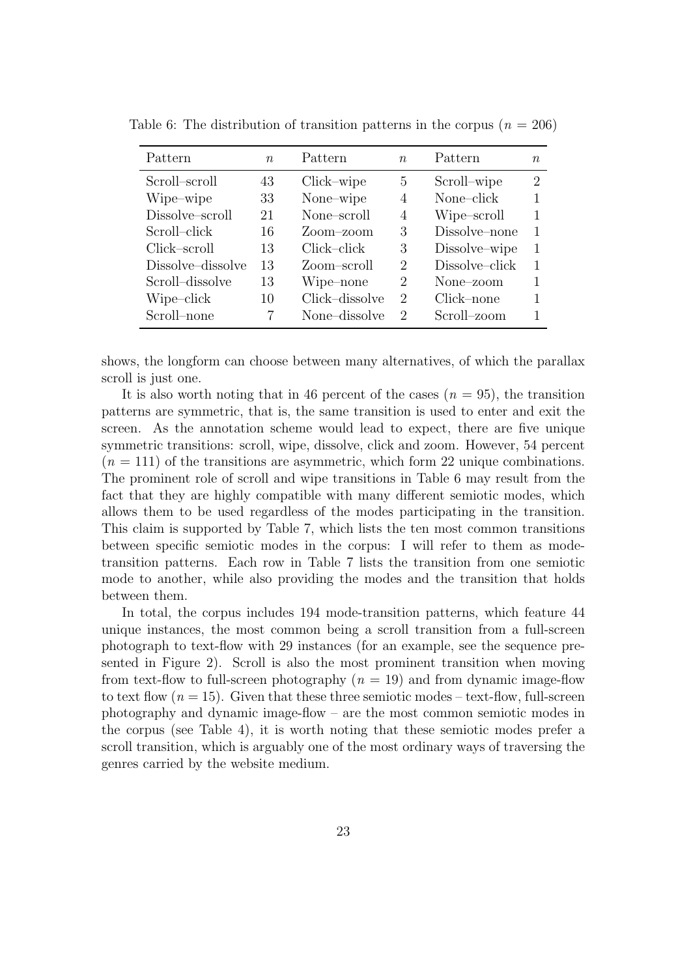| Pattern           | $n_{\cdot}$ | Pattern        | $n_{\cdot}$                 | Pattern        | $n_{\cdot}$    |
|-------------------|-------------|----------------|-----------------------------|----------------|----------------|
| Scroll-scroll     | 43          | Click-wipe     | 5                           | Scroll-wipe    | $\overline{2}$ |
| Wipe-wipe         | 33          | None-wipe      | 4                           | None-click     | 1              |
| Dissolve-scroll   | 21          | None-scroll    | 4                           | Wipe-scroll    |                |
| Scroll-click      | 16          | Zoom–zoom      | 3                           | Dissolve-none  |                |
| Click-scroll      | 13          | Click-click    | 3                           | Dissolve-wipe  | 1              |
| Dissolve-dissolve | 13          | Zoom-scroll    | 2                           | Dissolve-click | 1              |
| Scroll-dissolve   | 13          | Wipe-none      | $\mathcal{D}_{\mathcal{L}}$ | None-zoom      |                |
| Wipe-click        | 10          | Click-dissolve | 2                           | Click-none     |                |
| Scroll-none       |             | None-dissolve  | $\mathcal{D}$               | Scroll-zoom    |                |

Table 6: The distribution of transition patterns in the corpus  $(n = 206)$ 

shows, the longform can choose between many alternatives, of which the parallax scroll is just one.

It is also worth noting that in 46 percent of the cases  $(n = 95)$ , the transition patterns are symmetric, that is, the same transition is used to enter and exit the screen. As the annotation scheme would lead to expect, there are five unique symmetric transitions: scroll, wipe, dissolve, click and zoom. However, 54 percent  $(n = 111)$  of the transitions are asymmetric, which form 22 unique combinations. The prominent role of scroll and wipe transitions in Table 6 may result from the fact that they are highly compatible with many different semiotic modes, which allows them to be used regardless of the modes participating in the transition. This claim is supported by Table 7, which lists the ten most common transitions between specific semiotic modes in the corpus: I will refer to them as modetransition patterns. Each row in Table 7 lists the transition from one semiotic mode to another, while also providing the modes and the transition that holds between them.

In total, the corpus includes 194 mode-transition patterns, which feature 44 unique instances, the most common being a scroll transition from a full-screen photograph to text-flow with 29 instances (for an example, see the sequence presented in Figure 2). Scroll is also the most prominent transition when moving from text-flow to full-screen photography  $(n = 19)$  and from dynamic image-flow to text flow  $(n = 15)$ . Given that these three semiotic modes – text-flow, full-screen photography and dynamic image-flow – are the most common semiotic modes in the corpus (see Table 4), it is worth noting that these semiotic modes prefer a scroll transition, which is arguably one of the most ordinary ways of traversing the genres carried by the website medium.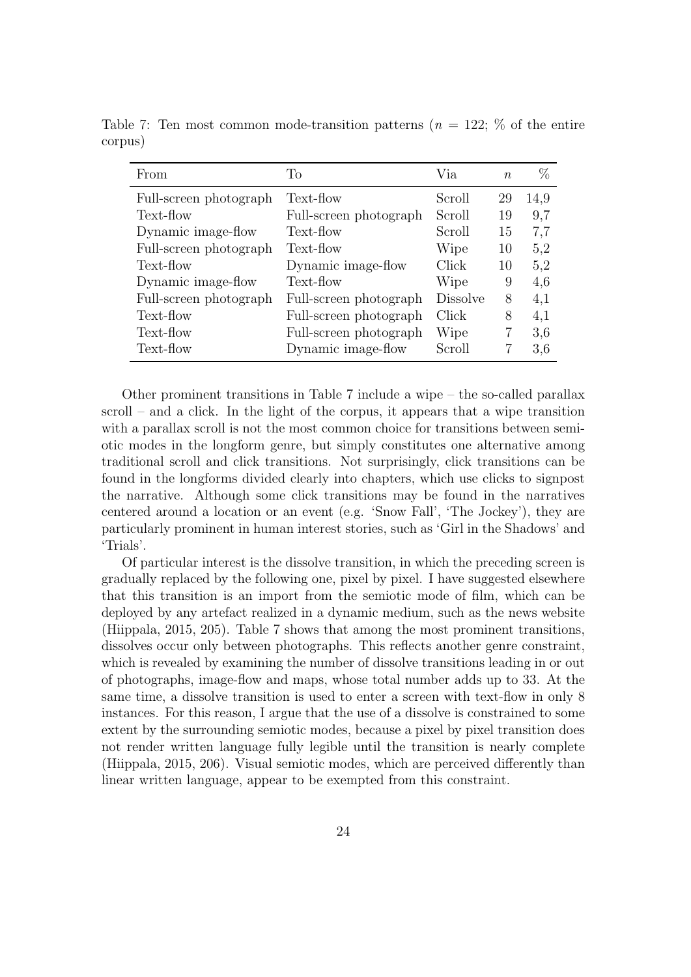| From                   | To                     | Via             | n  | %    |
|------------------------|------------------------|-----------------|----|------|
| Full-screen photograph | Text-flow              | Scroll          | 29 | 14,9 |
| Text-flow              | Full-screen photograph | Scroll          | 19 | 9,7  |
| Dynamic image-flow     | Text-flow              | Scroll          | 15 | 7,7  |
| Full-screen photograph | Text-flow              | Wipe            | 10 | 5,2  |
| Text-flow              | Dynamic image-flow     | Click           | 10 | 5,2  |
| Dynamic image-flow     | Text-flow              | Wipe            | 9  | 4,6  |
| Full-screen photograph | Full-screen photograph | <b>Dissolve</b> | 8  | 4,1  |
| Text-flow              | Full-screen photograph | Click           | 8  | 4,1  |
| Text-flow              | Full-screen photograph | Wipe            |    | 3,6  |
| Text-flow              | Dynamic image-flow     | Scroll          |    | 3.6  |

Table 7: Ten most common mode-transition patterns ( $n = 122$ ;  $\%$  of the entire corpus)

Other prominent transitions in Table 7 include a wipe – the so-called parallax scroll – and a click. In the light of the corpus, it appears that a wipe transition with a parallax scroll is not the most common choice for transitions between semiotic modes in the longform genre, but simply constitutes one alternative among traditional scroll and click transitions. Not surprisingly, click transitions can be found in the longforms divided clearly into chapters, which use clicks to signpost the narrative. Although some click transitions may be found in the narratives centered around a location or an event (e.g. 'Snow Fall', 'The Jockey'), they are particularly prominent in human interest stories, such as 'Girl in the Shadows' and 'Trials'.

Of particular interest is the dissolve transition, in which the preceding screen is gradually replaced by the following one, pixel by pixel. I have suggested elsewhere that this transition is an import from the semiotic mode of film, which can be deployed by any artefact realized in a dynamic medium, such as the news website (Hiippala, 2015, 205). Table 7 shows that among the most prominent transitions, dissolves occur only between photographs. This reflects another genre constraint, which is revealed by examining the number of dissolve transitions leading in or out of photographs, image-flow and maps, whose total number adds up to 33. At the same time, a dissolve transition is used to enter a screen with text-flow in only 8 instances. For this reason, I argue that the use of a dissolve is constrained to some extent by the surrounding semiotic modes, because a pixel by pixel transition does not render written language fully legible until the transition is nearly complete (Hiippala, 2015, 206). Visual semiotic modes, which are perceived differently than linear written language, appear to be exempted from this constraint.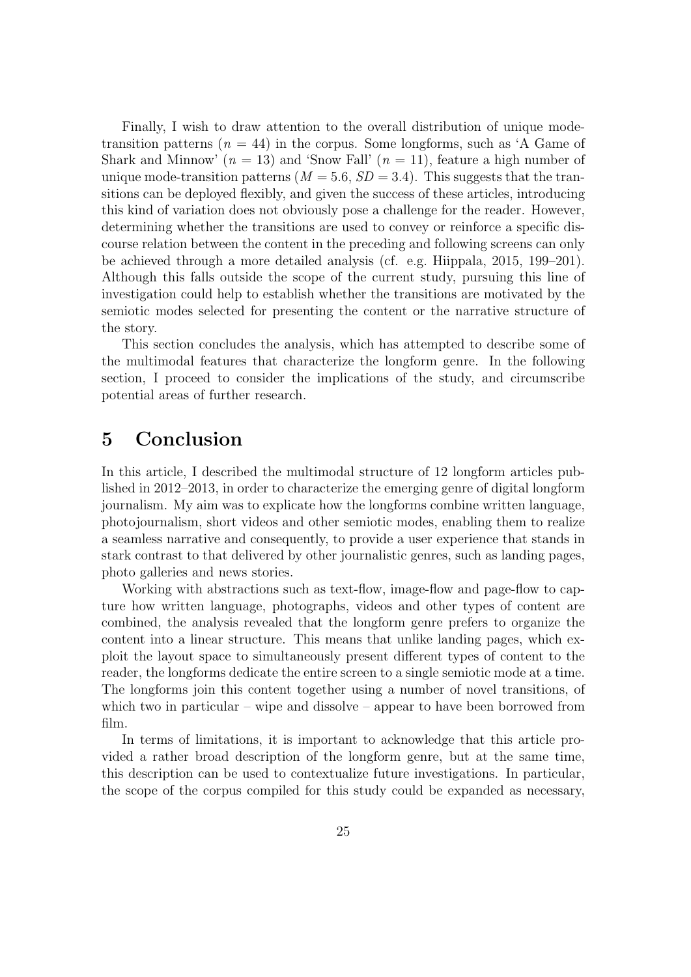Finally, I wish to draw attention to the overall distribution of unique modetransition patterns ( $n = 44$ ) in the corpus. Some longforms, such as 'A Game of Shark and Minnow'  $(n = 13)$  and 'Snow Fall'  $(n = 11)$ , feature a high number of unique mode-transition patterns ( $M = 5.6$ ,  $SD = 3.4$ ). This suggests that the transitions can be deployed flexibly, and given the success of these articles, introducing this kind of variation does not obviously pose a challenge for the reader. However, determining whether the transitions are used to convey or reinforce a specific discourse relation between the content in the preceding and following screens can only be achieved through a more detailed analysis (cf. e.g. Hiippala, 2015, 199–201). Although this falls outside the scope of the current study, pursuing this line of investigation could help to establish whether the transitions are motivated by the semiotic modes selected for presenting the content or the narrative structure of the story.

This section concludes the analysis, which has attempted to describe some of the multimodal features that characterize the longform genre. In the following section, I proceed to consider the implications of the study, and circumscribe potential areas of further research.

### 5 Conclusion

In this article, I described the multimodal structure of 12 longform articles published in 2012–2013, in order to characterize the emerging genre of digital longform journalism. My aim was to explicate how the longforms combine written language, photojournalism, short videos and other semiotic modes, enabling them to realize a seamless narrative and consequently, to provide a user experience that stands in stark contrast to that delivered by other journalistic genres, such as landing pages, photo galleries and news stories.

Working with abstractions such as text-flow, image-flow and page-flow to capture how written language, photographs, videos and other types of content are combined, the analysis revealed that the longform genre prefers to organize the content into a linear structure. This means that unlike landing pages, which exploit the layout space to simultaneously present different types of content to the reader, the longforms dedicate the entire screen to a single semiotic mode at a time. The longforms join this content together using a number of novel transitions, of which two in particular – wipe and dissolve – appear to have been borrowed from film.

In terms of limitations, it is important to acknowledge that this article provided a rather broad description of the longform genre, but at the same time, this description can be used to contextualize future investigations. In particular, the scope of the corpus compiled for this study could be expanded as necessary,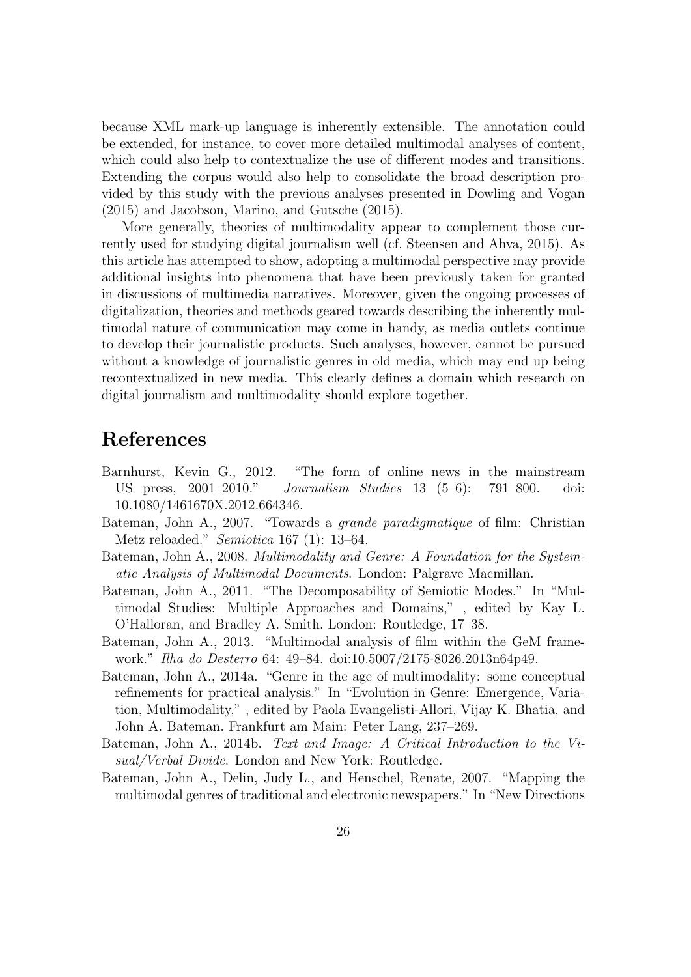because XML mark-up language is inherently extensible. The annotation could be extended, for instance, to cover more detailed multimodal analyses of content, which could also help to contextualize the use of different modes and transitions. Extending the corpus would also help to consolidate the broad description provided by this study with the previous analyses presented in Dowling and Vogan (2015) and Jacobson, Marino, and Gutsche (2015).

More generally, theories of multimodality appear to complement those currently used for studying digital journalism well (cf. Steensen and Ahva, 2015). As this article has attempted to show, adopting a multimodal perspective may provide additional insights into phenomena that have been previously taken for granted in discussions of multimedia narratives. Moreover, given the ongoing processes of digitalization, theories and methods geared towards describing the inherently multimodal nature of communication may come in handy, as media outlets continue to develop their journalistic products. Such analyses, however, cannot be pursued without a knowledge of journalistic genres in old media, which may end up being recontextualized in new media. This clearly defines a domain which research on digital journalism and multimodality should explore together.

### References

- Barnhurst, Kevin G., 2012. "The form of online news in the mainstream US press, 2001–2010." Journalism Studies 13 (5–6): 791–800. doi: 10.1080/1461670X.2012.664346.
- Bateman, John A., 2007. "Towards a grande paradigmatique of film: Christian Metz reloaded." Semiotica 167 (1): 13–64.
- Bateman, John A., 2008. Multimodality and Genre: A Foundation for the Systematic Analysis of Multimodal Documents. London: Palgrave Macmillan.
- Bateman, John A., 2011. "The Decomposability of Semiotic Modes." In "Multimodal Studies: Multiple Approaches and Domains," , edited by Kay L. O'Halloran, and Bradley A. Smith. London: Routledge, 17–38.
- Bateman, John A., 2013. "Multimodal analysis of film within the GeM framework." Ilha do Desterro 64: 49–84. doi:10.5007/2175-8026.2013n64p49.
- Bateman, John A., 2014a. "Genre in the age of multimodality: some conceptual refinements for practical analysis." In "Evolution in Genre: Emergence, Variation, Multimodality," , edited by Paola Evangelisti-Allori, Vijay K. Bhatia, and John A. Bateman. Frankfurt am Main: Peter Lang, 237–269.
- Bateman, John A., 2014b. Text and Image: A Critical Introduction to the Visual/Verbal Divide. London and New York: Routledge.
- Bateman, John A., Delin, Judy L., and Henschel, Renate, 2007. "Mapping the multimodal genres of traditional and electronic newspapers." In "New Directions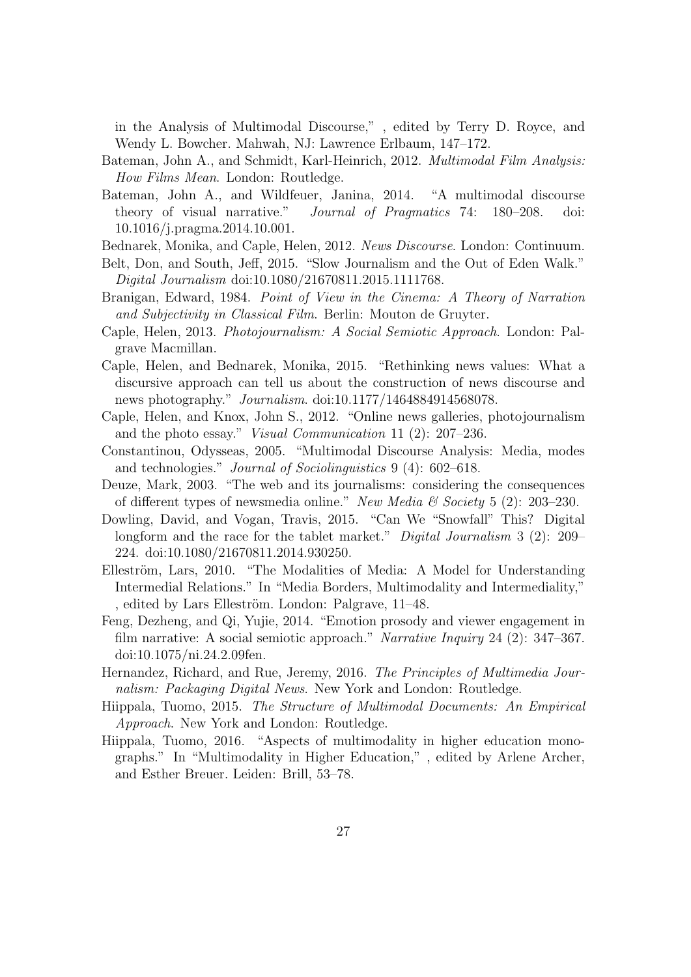in the Analysis of Multimodal Discourse," , edited by Terry D. Royce, and Wendy L. Bowcher. Mahwah, NJ: Lawrence Erlbaum, 147–172.

- Bateman, John A., and Schmidt, Karl-Heinrich, 2012. Multimodal Film Analysis: How Films Mean. London: Routledge.
- Bateman, John A., and Wildfeuer, Janina, 2014. "A multimodal discourse theory of visual narrative." Journal of Pragmatics 74: 180–208. doi: 10.1016/j.pragma.2014.10.001.
- Bednarek, Monika, and Caple, Helen, 2012. News Discourse. London: Continuum.
- Belt, Don, and South, Jeff, 2015. "Slow Journalism and the Out of Eden Walk." Digital Journalism doi:10.1080/21670811.2015.1111768.
- Branigan, Edward, 1984. Point of View in the Cinema: A Theory of Narration and Subjectivity in Classical Film. Berlin: Mouton de Gruyter.
- Caple, Helen, 2013. Photojournalism: A Social Semiotic Approach. London: Palgrave Macmillan.
- Caple, Helen, and Bednarek, Monika, 2015. "Rethinking news values: What a discursive approach can tell us about the construction of news discourse and news photography." Journalism. doi:10.1177/1464884914568078.
- Caple, Helen, and Knox, John S., 2012. "Online news galleries, photojournalism and the photo essay." Visual Communication 11 (2): 207–236.
- Constantinou, Odysseas, 2005. "Multimodal Discourse Analysis: Media, modes and technologies." Journal of Sociolinguistics 9 (4): 602–618.
- Deuze, Mark, 2003. "The web and its journalisms: considering the consequences of different types of newsmedia online." New Media  $\mathcal C$  Society 5 (2): 203–230.
- Dowling, David, and Vogan, Travis, 2015. "Can We "Snowfall" This? Digital longform and the race for the tablet market." *Digital Journalism* 3 (2): 209– 224. doi:10.1080/21670811.2014.930250.
- Elleström, Lars, 2010. "The Modalities of Media: A Model for Understanding Intermedial Relations." In "Media Borders, Multimodality and Intermediality," , edited by Lars Elleström. London: Palgrave, 11–48.
- Feng, Dezheng, and Qi, Yujie, 2014. "Emotion prosody and viewer engagement in film narrative: A social semiotic approach." Narrative Inquiry 24 (2): 347–367. doi:10.1075/ni.24.2.09fen.
- Hernandez, Richard, and Rue, Jeremy, 2016. The Principles of Multimedia Journalism: Packaging Digital News. New York and London: Routledge.
- Hiippala, Tuomo, 2015. The Structure of Multimodal Documents: An Empirical Approach. New York and London: Routledge.
- Hiippala, Tuomo, 2016. "Aspects of multimodality in higher education monographs." In "Multimodality in Higher Education," , edited by Arlene Archer, and Esther Breuer. Leiden: Brill, 53–78.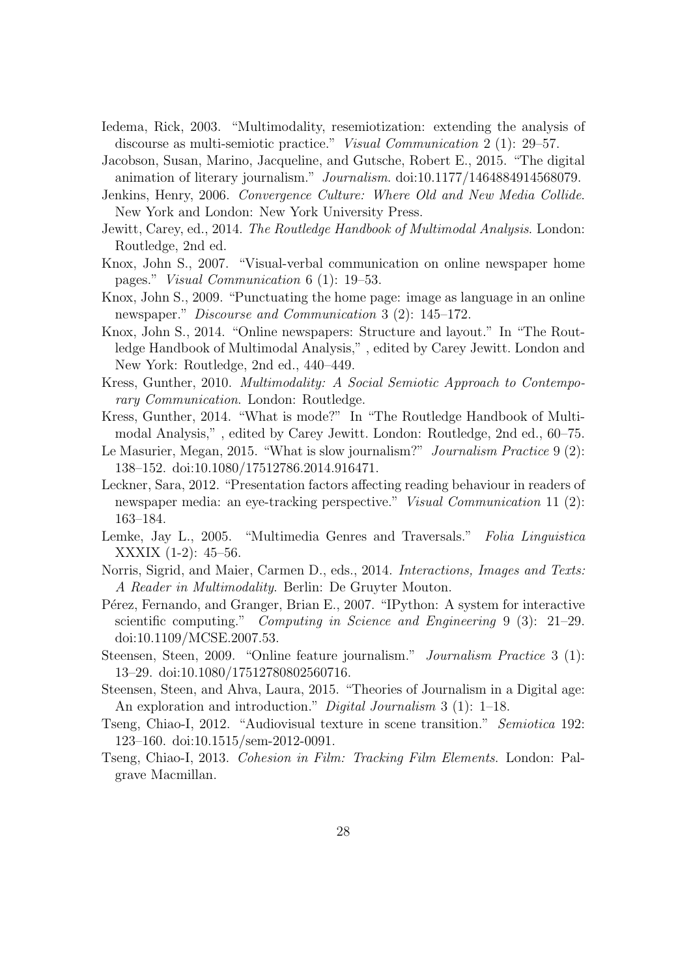- Iedema, Rick, 2003. "Multimodality, resemiotization: extending the analysis of discourse as multi-semiotic practice." Visual Communication 2 (1): 29–57.
- Jacobson, Susan, Marino, Jacqueline, and Gutsche, Robert E., 2015. "The digital animation of literary journalism." Journalism. doi:10.1177/1464884914568079.
- Jenkins, Henry, 2006. Convergence Culture: Where Old and New Media Collide. New York and London: New York University Press.
- Jewitt, Carey, ed., 2014. The Routledge Handbook of Multimodal Analysis. London: Routledge, 2nd ed.
- Knox, John S., 2007. "Visual-verbal communication on online newspaper home pages." Visual Communication 6 (1): 19–53.
- Knox, John S., 2009. "Punctuating the home page: image as language in an online newspaper." Discourse and Communication 3 (2): 145–172.
- Knox, John S., 2014. "Online newspapers: Structure and layout." In "The Routledge Handbook of Multimodal Analysis," , edited by Carey Jewitt. London and New York: Routledge, 2nd ed., 440–449.
- Kress, Gunther, 2010. Multimodality: A Social Semiotic Approach to Contemporary Communication. London: Routledge.
- Kress, Gunther, 2014. "What is mode?" In "The Routledge Handbook of Multimodal Analysis," , edited by Carey Jewitt. London: Routledge, 2nd ed., 60–75.
- Le Masurier, Megan, 2015. "What is slow journalism?" Journalism Practice 9 (2): 138–152. doi:10.1080/17512786.2014.916471.
- Leckner, Sara, 2012. "Presentation factors affecting reading behaviour in readers of newspaper media: an eye-tracking perspective." *Visual Communication* 11 (2): 163–184.
- Lemke, Jay L., 2005. "Multimedia Genres and Traversals." Folia Linguistica XXXIX (1-2): 45–56.
- Norris, Sigrid, and Maier, Carmen D., eds., 2014. Interactions, Images and Texts: A Reader in Multimodality. Berlin: De Gruyter Mouton.
- Pérez, Fernando, and Granger, Brian E., 2007. "IPython: A system for interactive scientific computing." Computing in Science and Engineering 9 (3): 21–29. doi:10.1109/MCSE.2007.53.
- Steensen, Steen, 2009. "Online feature journalism." Journalism Practice 3 (1): 13–29. doi:10.1080/17512780802560716.
- Steensen, Steen, and Ahva, Laura, 2015. "Theories of Journalism in a Digital age: An exploration and introduction." *Digital Journalism* 3 (1): 1–18.
- Tseng, Chiao-I, 2012. "Audiovisual texture in scene transition." Semiotica 192: 123–160. doi:10.1515/sem-2012-0091.
- Tseng, Chiao-I, 2013. Cohesion in Film: Tracking Film Elements. London: Palgrave Macmillan.